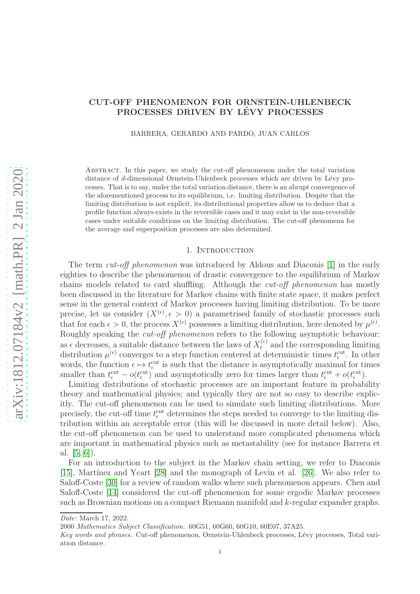# CUT-OFF PHENOMENON FOR ORNSTEIN-UHLENBECK PROCESSES DRIVEN BY LÉVY PROCESSES

BARRERA, GERARDO AND PARDO, JUAN CARLOS

Abstract. In this paper, we study the cut-off phenomenon under the total variation distance of d-dimensional Ornstein-Uhlenbeck processes which are driven by Lévy processes. That is to say, under the total variation distance, there is an abrupt convergence of the aforementioned process to its equilibrium, i.e. limiting distribution. Despite that the limiting distribution is not explicit, its distributional properties allow us to deduce that a profile function always exists in the reversible cases and it may exist in the non-reversible cases under suitable conditions on the limiting distribution. The cut-off phenomena for the average and superposition processes are also determined.

## 1. INTRODUCTION

The term *cut-off phenomenon* was introduced by Aldous and Diaconis [\[1\]](#page-32-0) in the early eighties to describe the phenomenon of drastic convergence to the equilibrium of Markov chains models related to card shuffling. Although the cut-off phenomenon has mostly been discussed in the literature for Markov chains with finite state space, it makes perfect sense in the general context of Markov processes having limiting distribution. To be more precise, let us consider  $(X^{(\epsilon)}, \epsilon > 0)$  a parametrised family of stochastic processes such that for each  $\epsilon > 0$ , the process  $X^{(\epsilon)}$  possesses a limiting distribution, here denoted by  $\mu^{(\epsilon)}$ . Roughly speaking the *cut-off phenomenon* refers to the following asymptotic behaviour: as  $\epsilon$  decreases, a suitable distance between the laws of  $X_t^{(\epsilon)}$  and the corresponding limiting distribution  $\mu^{(\epsilon)}$  converges to a step function centered at deterministic times  $t_{\epsilon}^{\text{cut}}$ . In other words, the function  $\epsilon \mapsto t_{\epsilon}^{\text{cut}}$  is such that the distance is asymptotically maximal for times smaller than  $t_{\epsilon}^{\text{cut}} - o(t_{\epsilon}^{\text{cut}})$  and asymptotically zero for times larger than  $t_{\epsilon}^{\text{cut}} + o(t_{\epsilon}^{\text{cut}})$ .

Limiting distributions of stochastic processes are an important feature in probability theory and mathematical physics; and typically they are not so easy to describe explicitly. The cut-off phenomenon can be used to simulate such limiting distributions. More precisely, the cut-off time  $t_{\epsilon}^{\text{cut}}$  determines the steps needed to converge to the limiting distribution within an acceptable error (this will be discussed in more detail below). Also, the cut-off phenomenon can be used to understand more complicated phenomena which are important in mathematical physics such as metastability (see for instance Barrera et al.  $[5, 6]$  $[5, 6]$ .

For an introduction to the subject in the Markov chain setting, we refer to Diaconis [\[15\]](#page-32-3), Martínez and Ycart [\[28\]](#page-33-0) and the monograph of Levin et al. [\[26\]](#page-32-4). We also refer to Saloff-Coste [\[30\]](#page-33-1) for a review of random walks where such phenomenon appears. Chen and Saloff-Coste [\[14\]](#page-32-5) considered the cut-off phenomenon for some ergodic Markov processes such as Brownian motions on a compact Riemann manifold and k-regular expander graphs.

Date: March 17, 2022.

<sup>2000</sup> Mathematics Subject Classification. 60G51, 60G60, 60G10, 60E07, 37A25.

Key words and phrases. Cut-off phenomenon, Ornstein-Uhlenbeck processes, Lévy processes, Total variation distance.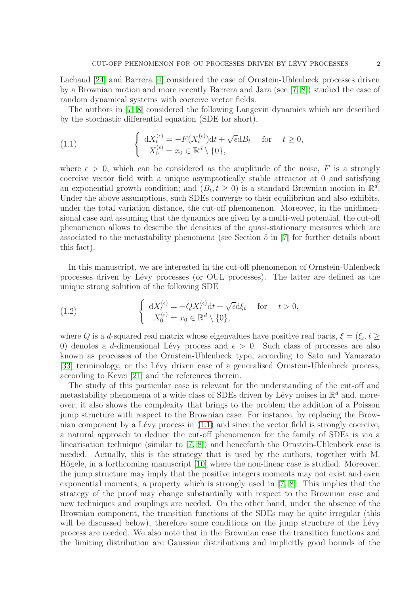Lachaud [\[24\]](#page-32-6) and Barrera [\[4\]](#page-32-7) considered the case of Ornstein-Uhlenbeck processes driven by a Brownian motion and more recently Barrera and Jara (see [\[7,](#page-32-8) [8\]](#page-32-9)) studied the case of random dynamical systems with coercive vector fields.

The authors in [\[7,](#page-32-8) [8\]](#page-32-9) considered the following Langevin dynamics which are described by the stochastic differential equation (SDE for short),

<span id="page-1-0"></span>(1.1) 
$$
\begin{cases} dX_t^{(\epsilon)} = -F(X_t^{(\epsilon)})dt + \sqrt{\epsilon}dB_t & \text{for } t \ge 0, \\ X_0^{(\epsilon)} = x_0 \in \mathbb{R}^d \setminus \{0\}, \end{cases}
$$

where  $\epsilon > 0$ , which can be considered as the amplitude of the noise, F is a strongly coercive vector field with a unique asymptotically stable attractor at 0 and satisfying an exponential growth condition; and  $(B_t, t \ge 0)$  is a standard Brownian motion in  $\mathbb{R}^d$ . Under the above assumptions, such SDEs converge to their equilibrium and also exhibits, under the total variation distance, the cut-off phenomenon. Moreover, in the unidimensional case and assuming that the dynamics are given by a multi-well potential, the cut-off phenomenon allows to describe the densities of the quasi-stationary measures which are associated to the metastability phenomena (see Section 5 in [\[7\]](#page-32-8) for further details about this fact).

In this manuscript, we are interested in the cut-off phenomenon of Ornstein-Uhlenbeck processes driven by L´evy processes (or OUL processes). The latter are defined as the unique strong solution of the following SDE

<span id="page-1-1"></span>(1.2) 
$$
\begin{cases} dX_t^{(\epsilon)} = -QX_t^{(\epsilon)}dt + \sqrt{\epsilon}d\xi_t & \text{for } t > 0, \\ X_0^{(\epsilon)} = x_0 \in \mathbb{R}^d \setminus \{0\}, \end{cases}
$$

where Q is a d-squared real matrix whose eigenvalues have positive real parts,  $\xi = (\xi_t, t \geq 0)$ 0) denotes a d-dimensional Lévy process and  $\epsilon > 0$ . Such class of processes are also known as processes of the Ornstein-Uhlenbeck type, according to Sato and Yamazato [\[33\]](#page-33-2) terminology, or the Lévy driven case of a generalised Ornstein-Uhlenbeck process, according to Kevei [\[21\]](#page-32-10) and the references therein.

The study of this particular case is relevant for the understanding of the cut-off and metastability phenomena of a wide class of SDEs driven by Lévy noises in  $\mathbb{R}^d$  and, moreover, it also shows the complexity that brings to the problem the addition of a Poisson jump structure with respect to the Brownian case. For instance, by replacing the Brownian component by a Lévy process in  $(1.1)$  and since the vector field is strongly coercive, a natural approach to deduce the cut-off phenomenon for the family of SDEs is via a linearisation technique (similar to [\[7,](#page-32-8) [8\]](#page-32-9)) and henceforth the Ornstein-Uhlenbeck case is needed. Actually, this is the strategy that is used by the authors, together with M. Högele, in a forthcoming manuscript  $[10]$  where the non-linear case is studied. Moreover, the jump structure may imply that the positive integers moments may not exist and even exponential moments, a property which is strongly used in [\[7,](#page-32-8) [8\]](#page-32-9). This implies that the strategy of the proof may change substantially with respect to the Brownian case and new techniques and couplings are needed. On the other hand, under the absence of the Brownian component, the transition functions of the SDEs may be quite irregular (this will be discussed below), therefore some conditions on the jump structure of the Lévy process are needed. We also note that in the Brownian case the transition functions and the limiting distribution are Gaussian distributions and implicitly good bounds of the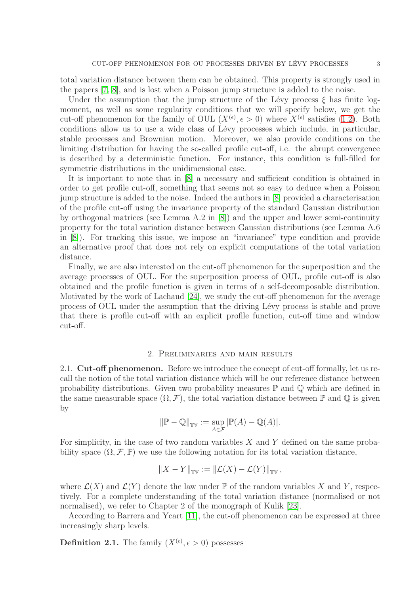total variation distance between them can be obtained. This property is strongly used in the papers [\[7,](#page-32-8) [8\]](#page-32-9), and is lost when a Poisson jump structure is added to the noise.

Under the assumption that the jump structure of the Lévy process  $\xi$  has finite logmoment, as well as some regularity conditions that we will specify below, we get the cut-off phenomenon for the family of OUL  $(X^{(\epsilon)}, \epsilon > 0)$  where  $X^{(\epsilon)}$  satisfies [\(1.2\)](#page-1-1). Both conditions allow us to use a wide class of Lévy processes which include, in particular, stable processes and Brownian motion. Moreover, we also provide conditions on the limiting distribution for having the so-called profile cut-off, i.e. the abrupt convergence is described by a deterministic function. For instance, this condition is full-filled for symmetric distributions in the unidimensional case.

It is important to note that in [\[8\]](#page-32-9) a necessary and sufficient condition is obtained in order to get profile cut-off, something that seems not so easy to deduce when a Poisson jump structure is added to the noise. Indeed the authors in [\[8\]](#page-32-9) provided a characterisation of the profile cut-off using the invariance property of the standard Gaussian distribution by orthogonal matrices (see Lemma A.2 in [\[8\]](#page-32-9)) and the upper and lower semi-continuity property for the total variation distance between Gaussian distributions (see Lemma A.6 in [\[8\]](#page-32-9)). For tracking this issue, we impose an "invariance" type condition and provide an alternative proof that does not rely on explicit computations of the total variation distance.

Finally, we are also interested on the cut-off phenomenon for the superposition and the average processes of OUL. For the superposition process of OUL, profile cut-off is also obtained and the profile function is given in terms of a self-decomposable distribution. Motivated by the work of Lachaud [\[24\]](#page-32-6), we study the cut-off phenomenon for the average process of OUL under the assumption that the driving L´evy process is stable and prove that there is profile cut-off with an explicit profile function, cut-off time and window cut-off.

#### 2. Preliminaries and main results

2.1. Cut-off phenomenon. Before we introduce the concept of cut-off formally, let us recall the notion of the total variation distance which will be our reference distance between probability distributions. Given two probability measures  $\mathbb P$  and  $\mathbb Q$  which are defined in the same measurable space  $(\Omega, \mathcal{F})$ , the total variation distance between P and Q is given by

$$
\|\mathbb{P} - \mathbb{Q}\|_{\mathbb{TV}} := \sup_{A \in \mathcal{F}} |\mathbb{P}(A) - \mathbb{Q}(A)|.
$$

For simplicity, in the case of two random variables  $X$  and  $Y$  defined on the same probability space  $(\Omega, \mathcal{F}, \mathbb{P})$  we use the following notation for its total variation distance,

$$
\|X-Y\|_{\mathbb{TV}} := \|\mathcal{L}(X)-\mathcal{L}(Y)\|_{\mathbb{TV}},
$$

where  $\mathcal{L}(X)$  and  $\mathcal{L}(Y)$  denote the law under  $\mathbb P$  of the random variables X and Y, respectively. For a complete understanding of the total variation distance (normalised or not normalised), we refer to Chapter 2 of the monograph of Kulik [\[23\]](#page-32-12).

According to Barrera and Ycart [\[11\]](#page-32-13), the cut-off phenomenon can be expressed at three increasingly sharp levels.

**Definition 2.1.** The family  $(X^{(\epsilon)}, \epsilon > 0)$  possesses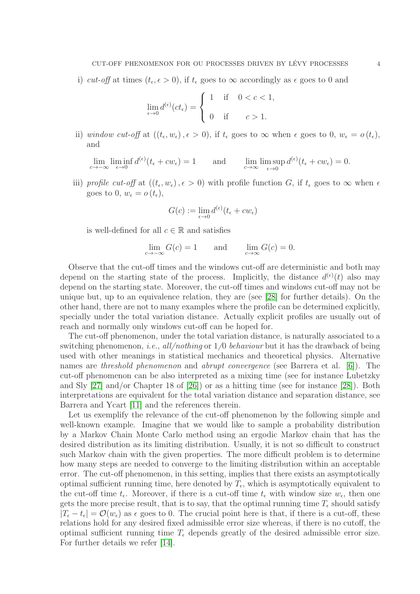i) cut-off at times  $(t_{\epsilon}, \epsilon > 0)$ , if  $t_{\epsilon}$  goes to  $\infty$  accordingly as  $\epsilon$  goes to 0 and

$$
\lim_{\epsilon \to 0} d^{(\epsilon)}(ct_{\epsilon}) = \begin{cases} 1 & \text{if } 0 < c < 1, \\ 0 & \text{if } c > 1. \end{cases}
$$

ii) window cut-off at  $((t_{\epsilon}, w_{\epsilon}), \epsilon > 0)$ , if  $t_{\epsilon}$  goes to  $\infty$  when  $\epsilon$  goes to  $0, w_{\epsilon} = o(t_{\epsilon}),$ and

lim lim inf<br> $c \rightarrow -\infty$  e→0  $\epsilon \rightarrow 0$  $d^{(\epsilon)}(t_{\epsilon} + cw_{\epsilon}) = 1$  and  $\lim_{c \to \infty} \lim_{\epsilon \to 0} \sup$  $\epsilon \rightarrow 0$  $d^{(\epsilon)}(t_{\epsilon}+cw_{\epsilon})=0.$ 

iii) profile cut-off at  $((t_{\epsilon}, w_{\epsilon}), \epsilon > 0)$  with profile function G, if  $t_{\epsilon}$  goes to  $\infty$  when  $\epsilon$ goes to 0,  $w_{\epsilon} = o(t_{\epsilon}),$ 

$$
G(c) := \lim_{\epsilon \to 0} d^{(\epsilon)}(t_{\epsilon} + cw_{\epsilon})
$$

is well-defined for all  $c \in \mathbb{R}$  and satisfies

$$
\lim_{c \to -\infty} G(c) = 1 \quad \text{and} \quad \lim_{c \to \infty} G(c) = 0.
$$

Observe that the cut-off times and the windows cut-off are deterministic and both may depend on the starting state of the process. Implicitly, the distance  $d^{(\epsilon)}(t)$  also may depend on the starting state. Moreover, the cut-off times and windows cut-off may not be unique but, up to an equivalence relation, they are (see [\[28\]](#page-33-0) for further details). On the other hand, there are not to many examples where the profile can be determined explicitly, specially under the total variation distance. Actually explicit profiles are usually out of reach and normally only windows cut-off can be hoped for.

The cut-off phenomenon, under the total variation distance, is naturally associated to a switching phenomenon, *i.e.*, all/nothing or  $1/0$  behaviour but it has the drawback of being used with other meanings in statistical mechanics and theoretical physics. Alternative names are *threshold phenomenon* and *abrupt convergence* (see Barrera et al. [\[6\]](#page-32-2)). The cut-off phenomenon can be also interpreted as a mixing time (see for instance Lubetzky and Sly [\[27\]](#page-33-3) and/or Chapter 18 of [\[26\]](#page-32-4)) or as a hitting time (see for instance [\[28\]](#page-33-0)). Both interpretations are equivalent for the total variation distance and separation distance, see Barrera and Ycart [\[11\]](#page-32-13) and the references therein.

Let us exemplify the relevance of the cut-off phenomenon by the following simple and well-known example. Imagine that we would like to sample a probability distribution by a Markov Chain Monte Carlo method using an ergodic Markov chain that has the desired distribution as its limiting distribution. Usually, it is not so difficult to construct such Markov chain with the given properties. The more difficult problem is to determine how many steps are needed to converge to the limiting distribution within an acceptable error. The cut-off phenomenon, in this setting, implies that there exists an asymptotically optimal sufficient running time, here denoted by  $T_{\epsilon}$ , which is asymptotically equivalent to the cut-off time  $t_{\epsilon}$ . Moreover, if there is a cut-off time  $t_{\epsilon}$  with window size  $w_{\epsilon}$ , then one gets the more precise result, that is to say, that the optimal running time  $T_{\epsilon}$  should satisfy  $|T_{\epsilon} - t_{\epsilon}| = \mathcal{O}(w_{\epsilon})$  as  $\epsilon$  goes to 0. The crucial point here is that, if there is a cut-off, these relations hold for any desired fixed admissible error size whereas, if there is no cutoff, the optimal sufficient running time  $T_{\epsilon}$  depends greatly of the desired admissible error size. For further details we refer [\[14\]](#page-32-5).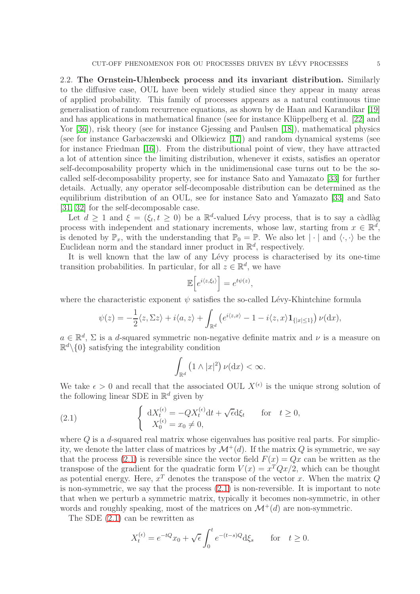2.2. The Ornstein-Uhlenbeck process and its invariant distribution. Similarly to the diffusive case, OUL have been widely studied since they appear in many areas of applied probability. This family of processes appears as a natural continuous time generalisation of random recurrence equations, as shown by de Haan and Karandikar [\[19\]](#page-32-14) and has applications in mathematical finance (see for instance Klüppelberg et al. [\[22\]](#page-32-15) and Yor [\[36\]](#page-33-4)), risk theory (see for instance Gjessing and Paulsen [\[18\]](#page-32-16)), mathematical physics (see for instance Garbaczewski and Olkiewicz [\[17\]](#page-32-17)) and random dynamical systems (see for instance Friedman [\[16\]](#page-32-18)). From the distributional point of view, they have attracted a lot of attention since the limiting distribution, whenever it exists, satisfies an operator self-decomposability property which in the unidimensional case turns out to be the socalled self-decomposability property, see for instance Sato and Yamazato [\[33\]](#page-33-2) for further details. Actually, any operator self-decomposable distribution can be determined as the equilibrium distribution of an OUL, see for instance Sato and Yamazato [\[33\]](#page-33-2) and Sato [\[31,](#page-33-5) [32\]](#page-33-6) for the self-decomposable case.

Let  $d \geq 1$  and  $\xi = (\xi_t, t \geq 0)$  be a  $\mathbb{R}^d$ -valued Lévy process, that is to say a càdlàg process with independent and stationary increments, whose law, starting from  $x \in \mathbb{R}^d$ , is denoted by  $\mathbb{P}_x$ , with the understanding that  $\mathbb{P}_0 = \mathbb{P}$ . We also let  $|\cdot|$  and  $\langle \cdot, \cdot \rangle$  be the Euclidean norm and the standard inner product in  $\mathbb{R}^d$ , respectively.

It is well known that the law of any Lévy process is characterised by its one-time transition probabilities. In particular, for all  $z \in \mathbb{R}^d$ , we have

$$
\mathbb{E}\Big[e^{i\langle z,\xi_t\rangle}\Big]=e^{t\psi(z)},
$$

where the characteristic exponent  $\psi$  satisfies the so-called Lévy-Khintchine formula

$$
\psi(z) = -\frac{1}{2}\langle z, \Sigma z \rangle + i\langle a, z \rangle + \int_{\mathbb{R}^d} \left( e^{i\langle z, x \rangle} - 1 - i\langle z, x \rangle \mathbf{1}_{\{|x| \le 1\}} \right) \nu(\mathrm{d}x),
$$

 $a \in \mathbb{R}^d$ ,  $\Sigma$  is a d-squared symmetric non-negative definite matrix and  $\nu$  is a measure on  $\mathbb{R}^d \setminus \{0\}$  satisfying the integrability condition

<span id="page-4-0"></span>
$$
\int_{\mathbb{R}^d} \left(1 \wedge |x|^2\right) \nu(\mathrm{d}x) < \infty.
$$

We take  $\epsilon > 0$  and recall that the associated OUL  $X^{(\epsilon)}$  is the unique strong solution of the following linear SDE in  $\mathbb{R}^d$  given by

(2.1) 
$$
\begin{cases} dX_t^{(\epsilon)} = -QX_t^{(\epsilon)}dt + \sqrt{\epsilon}d\xi_t & \text{for } t \ge 0, \\ X_0^{(\epsilon)} = x_0 \ne 0, \end{cases}
$$

where  $Q$  is a d-squared real matrix whose eigenvalues has positive real parts. For simplicity, we denote the latter class of matrices by  $\mathcal{M}^+(d)$ . If the matrix Q is symmetric, we say that the process [\(2.1\)](#page-4-0) is reversible since the vector field  $F(x) = Qx$  can be written as the transpose of the gradient for the quadratic form  $V(x) = x^T Q x/2$ , which can be thought as potential energy. Here,  $x^T$  denotes the transpose of the vector x. When the matrix  $Q$ is non-symmetric, we say that the process [\(2.1\)](#page-4-0) is non-reversible. It is important to note that when we perturb a symmetric matrix, typically it becomes non-symmetric, in other words and roughly speaking, most of the matrices on  $\mathcal{M}^+(d)$  are non-symmetric.

The SDE [\(2.1\)](#page-4-0) can be rewritten as

$$
X_t^{(\epsilon)} = e^{-tQ}x_0 + \sqrt{\epsilon} \int_0^t e^{-(t-s)Q} d\xi_s \quad \text{for} \quad t \ge 0.
$$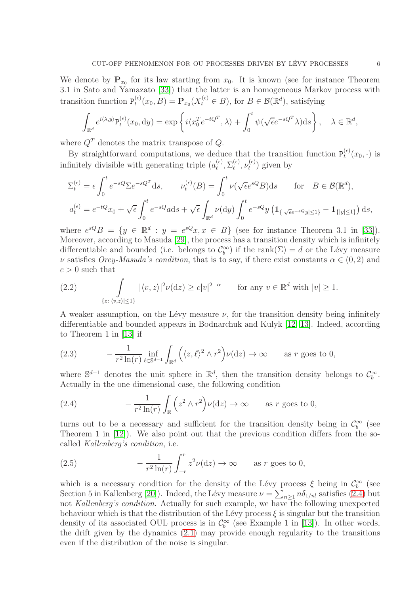We denote by  $\mathbf{P}_{x_0}$  for its law starting from  $x_0$ . It is known (see for instance Theorem 3.1 in Sato and Yamazato [\[33\]](#page-33-2)) that the latter is an homogeneous Markov process with transition function  $P_t^{(\epsilon)}$  $(t_t^{(\epsilon)}(x_0, B) = \mathbf{P}_{x_0}(X_t^{(\epsilon)} \in B), \text{ for } B \in \mathcal{B}(\mathbb{R}^d), \text{ satisfying}$ 

$$
\int_{\mathbb{R}^d} e^{i\langle \lambda, y \rangle} P_t^{(\epsilon)}(x_0, dy) = \exp\left\{ i \langle x_0^T e^{-tQ^T}, \lambda \rangle + \int_0^t \psi(\sqrt{\epsilon} e^{-sQ^T} \lambda) ds \right\}, \quad \lambda \in \mathbb{R}^d,
$$

where  $Q<sup>T</sup>$  denotes the matrix transpose of  $Q$ .

By straightforward computations, we deduce that the transition function  $P_t^{(\epsilon)}$  $t^{(\epsilon)}(x_0,\cdot)$  is infinitely divisible with generating triple  $(a_t^{(\epsilon)})$  $_t^{(\epsilon)}, \Sigma_t^{(\epsilon)}$  $_t^{(\epsilon)}, \nu_t^{(\epsilon)}$  $t_t^{(\epsilon)}$ ) given by

$$
\Sigma_t^{(\epsilon)} = \epsilon \int_0^t e^{-sQ} \Sigma e^{-sQ^T} ds, \qquad \nu_t^{(\epsilon)}(B) = \int_0^t \nu(\sqrt{\epsilon}e^{sQ}B) ds \qquad \text{for} \quad B \in \mathcal{B}(\mathbb{R}^d),
$$
  

$$
a_t^{(\epsilon)} = e^{-tQ}x_0 + \sqrt{\epsilon} \int_0^t e^{-sQ} ds + \sqrt{\epsilon} \int_{\mathbb{R}^d} \nu(\mathrm{d}y) \int_0^t e^{-sQ} y \left( \mathbf{1}_{\{|\sqrt{\epsilon}e^{-sQ}y| \le 1\}} - \mathbf{1}_{\{|y| \le 1\}} \right) ds,
$$

where  $e^{sQ}B = \{y \in \mathbb{R}^d : y = e^{sQ}x, x \in B\}$  (see for instance Theorem 3.1 in [\[33\]](#page-33-2)). Moreover, according to Masuda [\[29\]](#page-33-7), the process has a transition density which is infinitely differentiable and bounded (i.e. belongs to  $\mathcal{C}_b^{\infty}$ ) if the rank $(\Sigma) = d$  or the Lévy measure v satisfies Orey-Masuda's condition, that is to say, if there exist constants  $\alpha \in (0, 2)$  and  $c > 0$  such that

<span id="page-5-2"></span>(2.2) 
$$
\int_{\{z: |\langle v,z\rangle|\le 1\}} |\langle v,z\rangle|^2 \nu(\mathrm{d}z) \ge c|v|^{2-\alpha} \quad \text{for any } v \in \mathbb{R}^d \text{ with } |v| \ge 1.
$$

A weaker assumption, on the Lévy measure  $\nu$ , for the transition density being infinitely differentiable and bounded appears in Bodnarchuk and Kulyk [\[12,](#page-32-19) [13\]](#page-32-20). Indeed, according to Theorem 1 in [\[13\]](#page-32-20) if

<span id="page-5-1"></span>(2.3) 
$$
-\frac{1}{r^2 \ln(r)} \inf_{\ell \in \mathbb{S}^{d-1}} \int_{\mathbb{R}^d} \left( \langle z, \ell \rangle^2 \wedge r^2 \right) \nu(\mathrm{d}z) \to \infty \quad \text{as } r \text{ goes to 0},
$$

where  $\mathbb{S}^{d-1}$  denotes the unit sphere in  $\mathbb{R}^d$ , then the transition density belongs to  $\mathcal{C}_b^{\infty}$ . Actually in the one dimensional case, the following condition

<span id="page-5-0"></span>(2.4) 
$$
-\frac{1}{r^2 \ln(r)} \int_{\mathbb{R}} \left( z^2 \wedge r^2 \right) \nu(\mathrm{d}z) \to \infty \quad \text{as } r \text{ goes to 0},
$$

turns out to be a necessary and sufficient for the transition density being in  $\mathcal{C}_b^{\infty}$  (see Theorem 1 in [\[12\]](#page-32-19)). We also point out that the previous condition differs from the socalled Kallenberg's condition, i.e.

<span id="page-5-3"></span>(2.5) 
$$
-\frac{1}{r^2 \ln(r)} \int_{-r}^{r} z^2 \nu(\mathrm{d}z) \to \infty \quad \text{as } r \text{ goes to 0},
$$

which is a necessary condition for the density of the Lévy process  $\xi$  being in  $\mathcal{C}_b^{\infty}$  (see Section 5 in Kallenberg [\[20\]](#page-32-21)). Indeed, the Lévy measure  $\nu = \sum_{n\geq 1} n \delta_{1/n!}$  satisfies [\(2.4\)](#page-5-0) but not Kallenberg's condition. Actually for such example, we have the following unexpected behaviour which is that the distribution of the Lévy process  $\xi$  is singular but the transition density of its associated OUL process is in  $\mathcal{C}_b^{\infty}$  (see Example 1 in [\[13\]](#page-32-20)). In other words, the drift given by the dynamics [\(2.1\)](#page-4-0) may provide enough regularity to the transitions even if the distribution of the noise is singular.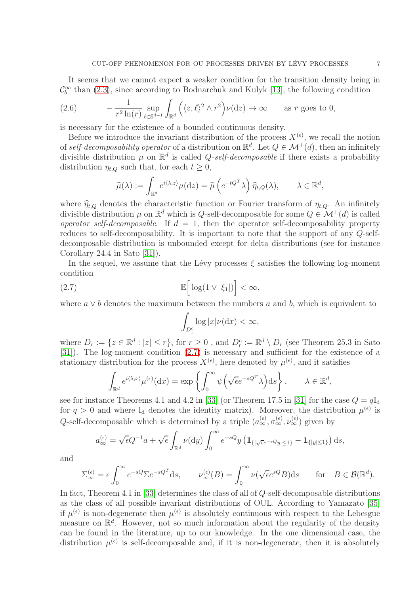It seems that we cannot expect a weaker condition for the transition density being in  $\mathcal{C}_b^{\infty}$  than [\(2.3\)](#page-5-1), since according to Bodnarchuk and Kulyk [\[13\]](#page-32-20), the following condition

<span id="page-6-1"></span>(2.6) 
$$
- \frac{1}{r^2 \ln(r)} \sup_{\ell \in \mathbb{S}^{d-1}} \int_{\mathbb{R}^d} \left( \langle z, \ell \rangle^2 \wedge r^2 \right) \nu(\mathrm{d}z) \to \infty \quad \text{as } r \text{ goes to 0},
$$

is necessary for the existence of a bounded continuous density.

Before we introduce the invariant distribution of the process  $X^{(\epsilon)}$ , we recall the notion of self-decomposability operator of a distribution on  $\mathbb{R}^d$ . Let  $Q \in \mathcal{M}^+(d)$ , then an infinitely divisible distribution  $\mu$  on  $\mathbb{R}^d$  is called Q-self-decomposable if there exists a probability distribution  $\eta_{t,Q}$  such that, for each  $t \geq 0$ ,

$$
\widehat{\mu}(\lambda) := \int_{\mathbb{R}^d} e^{i\langle \lambda, z \rangle} \mu(\mathrm{d}z) = \widehat{\mu}\left(e^{-tQ^T} \lambda\right) \widehat{\eta}_{t,Q}(\lambda), \qquad \lambda \in \mathbb{R}^d,
$$

where  $\hat{\eta}_{t,Q}$  denotes the characteristic function or Fourier transform of  $\eta_{t,Q}$ . An infinitely divisible distribution  $\mu$  on  $\mathbb{R}^d$  which is Q-self-decomposable for some  $Q \in \mathcal{M}^+(d)$  is called operator self-decomposable. If  $d = 1$ , then the operator self-decomposability property reduces to self-decomposability. It is important to note that the support of any Q-selfdecomposable distribution is unbounded except for delta distributions (see for instance Corollary 24.4 in Sato [\[31\]](#page-33-5)).

In the sequel, we assume that the Lévy processes  $\xi$  satisfies the following log-moment condition

(2.7) 
$$
\mathbb{E}\Big[\log(1 \vee |\xi_1|)\Big] < \infty,
$$

where  $a \vee b$  denotes the maximum between the numbers a and b, which is equivalent to

<span id="page-6-0"></span>
$$
\int_{D_1^c} \log |x| \nu(\mathrm{d}x) < \infty,
$$

where  $D_r := \{z \in \mathbb{R}^d : |z| \leq r\}$ , for  $r \geq 0$ , and  $D_r^c := \mathbb{R}^d \setminus D_r$  (see Theorem 25.3 in Sato [\[31\]](#page-33-5)). The log-moment condition [\(2.7\)](#page-6-0) is necessary and sufficient for the existence of a stationary distribution for the process  $X^{(\epsilon)}$ , here denoted by  $\mu^{(\epsilon)}$ , and it satisfies

$$
\int_{\mathbb{R}^d} e^{i\langle \lambda, x \rangle} \mu^{(\epsilon)}(\mathrm{d}x) = \exp\left\{ \int_0^\infty \psi\left(\sqrt{\epsilon} e^{-sQ^T} \lambda\right) \mathrm{d}s \right\}, \qquad \lambda \in \mathbb{R}^d,
$$

see for instance Theorems 4.1 and 4.2 in [\[33\]](#page-33-2) (or Theorem 17.5 in [\[31\]](#page-33-5) for the case  $Q = qI_d$ for  $q > 0$  and where  $I_d$  denotes the identity matrix). Moreover, the distribution  $\mu^{(\epsilon)}$  is Q-self-decomposable which is determined by a triple  $(a_{\infty}^{(\epsilon)}, \sigma_{\infty}^{(\epsilon)}, \nu_{\infty}^{(\epsilon)})$  given by

$$
a_{\infty}^{(\epsilon)} = \sqrt{\epsilon}Q^{-1}a + \sqrt{\epsilon} \int_{\mathbb{R}^d} \nu(\mathrm{d}y) \int_0^{\infty} e^{-sQ} y \left( \mathbf{1}_{\{|\sqrt{\epsilon}e^{-sQ}y| \le 1\}} - \mathbf{1}_{\{|y| \le 1\}} \right) \mathrm{d}s,
$$

and

$$
\Sigma_{\infty}^{(\epsilon)} = \epsilon \int_0^{\infty} e^{-sQ} \Sigma e^{-sQ^T} ds, \qquad \nu_{\infty}^{(\epsilon)}(B) = \int_0^{\infty} \nu(\sqrt{\epsilon}e^{sQ}B) ds \qquad \text{for} \quad B \in \mathcal{B}(\mathbb{R}^d).
$$

In fact, Theorem 4.1 in [\[33\]](#page-33-2) determines the class of all of Q-self-decomposable distributions as the class of all possible invariant distributions of OUL. According to Yamazato [\[35\]](#page-33-8) if  $\mu^{(\epsilon)}$  is non-degenerate then  $\mu^{(\epsilon)}$  is absolutely continuous with respect to the Lebesgue measure on  $\mathbb{R}^d$ . However, not so much information about the regularity of the density can be found in the literature, up to our knowledge. In the one dimensional case, the distribution  $\mu^{(\epsilon)}$  is self-decomposable and, if it is non-degenerate, then it is absolutely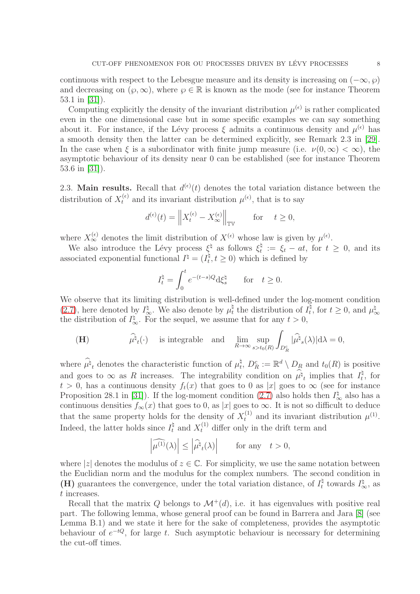continuous with respect to the Lebesgue measure and its density is increasing on  $(-\infty, \wp)$ and decreasing on  $(\varphi, \infty)$ , where  $\varphi \in \mathbb{R}$  is known as the mode (see for instance Theorem 53.1 in [\[31\]](#page-33-5)).

Computing explicitly the density of the invariant distribution  $\mu^{(\epsilon)}$  is rather complicated even in the one dimensional case but in some specific examples we can say something about it. For instance, if the Lévy process  $\xi$  admits a continuous density and  $\mu^{(\epsilon)}$  has a smooth density then the latter can be determined explicitly, see Remark 2.3 in [\[29\]](#page-33-7). In the case when  $\xi$  is a subordinator with finite jump measure (i.e.  $\nu(0,\infty) < \infty$ ), the asymptotic behaviour of its density near 0 can be established (see for instance Theorem 53.6 in [\[31\]](#page-33-5)).

2.3. Main results. Recall that  $d^{(\epsilon)}(t)$  denotes the total variation distance between the distribution of  $X_t^{(\epsilon)}$  and its invariant distribution  $\mu^{(\epsilon)}$ , that is to say

$$
d^{(\epsilon)}(t) = \left\| X_t^{(\epsilon)} - X_{\infty}^{(\epsilon)} \right\|_{\mathbb{TV}} \quad \text{for} \quad t \ge 0,
$$

where  $X_{\infty}^{(\epsilon)}$  denotes the limit distribution of  $X^{(\epsilon)}$  whose law is given by  $\mu^{(\epsilon)}$ .

We also introduce the Lévy process  $\xi^{\natural}$  as follows  $\xi_t^{\natural}$  $t^{\mathfrak{q}} := \xi_t - at$ , for  $t \geq 0$ , and its associated exponential functional  $I^{\natural} = (I_t^{\natural})$  $(t, t \geq 0)$  which is defined by

$$
I_t^{\natural} = \int_0^t e^{-(t-s)Q} d\xi_s^{\natural} \quad \text{for} \quad t \ge 0.
$$

We observe that its limiting distribution is well-defined under the log-moment condition [\(2.7\)](#page-6-0), here denoted by  $I_{\infty}^{\sharp}$ . We also denote by  $\mu_t^{\sharp}$ <sup> $\frac{a}{t}$ </sup> the distribution of  $I_t^{\natural}$  $t_t^{\natural}$ , for  $t \geq 0$ , and  $\mu_{\circ}^{\natural}$ ∞ the distribution of  $I_{\infty}^{\natural}$ . For the sequel, we assume that for any  $t > 0$ ,

(H) 
$$
\widehat{\mu}^{\natural}{}_{t}(\cdot)
$$
 is integrable and  $\lim_{R \to \infty} \sup_{s > t_0(R)} \int_{D_R^c} |\widehat{\mu}^{\natural}{}_{s}(\lambda)| d\lambda = 0$ ,

where  $\hat{\mu}_t^{\dagger}$  denotes the characteristic function of  $\mu_t^{\dagger}$  $t_t^{\natural}, D_R^c := \mathbb{R}^d \setminus D_R$  and  $t_0(R)$  is positive and goes to  $\infty$  as R increases. The integrability condition on  $\hat{\mu}^{\natural}$  implies that  $I_t^{\natural}$  $t^{\mathfrak{q}}, \text{ for }$  $t > 0$ , has a continuous density  $f_t(x)$  that goes to 0 as |x| goes to  $\infty$  (see for instance Proposition 28.1 in [\[31\]](#page-33-5)). If the log-moment condition [\(2.7\)](#page-6-0) also holds then  $I^{\natural}_{\infty}$  also has a continuous densities  $f_{\infty}(x)$  that goes to 0, as |x| goes to  $\infty$ . It is not so difficult to deduce that the same property holds for the density of  $X_t^{(1)}$  and its invariant distribution  $\mu^{(1)}$ . Indeed, the latter holds since  $I_t^{\dagger}$  and  $X_t^{(1)}$  differ only in the drift term and

$$
\left|\widehat{\mu^{(1)}}(\lambda)\right| \le \left|\widehat{\mu^{\natural}}_t(\lambda)\right| \qquad \text{for any} \quad t > 0,
$$

where |z| denotes the modulus of  $z \in \mathbb{C}$ . For simplicity, we use the same notation between the Euclidian norm and the modulus for the complex numbers. The second condition in (H) guarantees the convergence, under the total variation distance, of  $I_t^{\dagger}$  $I_{\infty}^{\natural}$  towards  $I_{\infty}^{\natural}$ , as t increases.

Recall that the matrix Q belongs to  $\mathcal{M}^+(d)$ , i.e. it has eigenvalues with positive real part. The following lemma, whose general proof can be found in Barrera and Jara [\[8\]](#page-32-9) (see Lemma B.1) and we state it here for the sake of completeness, provides the asymptotic behaviour of  $e^{-tQ}$ , for large t. Such asymptotic behaviour is necessary for determining the cut-off times.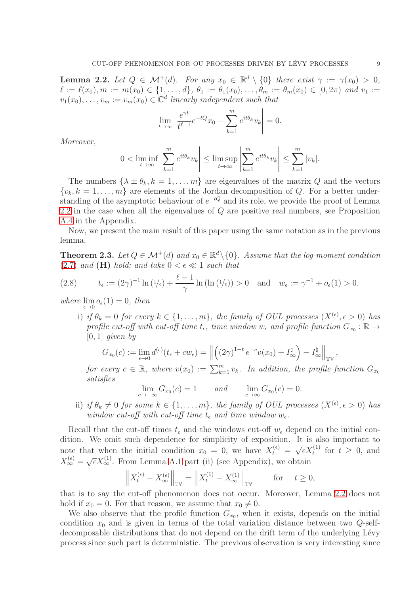<span id="page-8-0"></span>**Lemma 2.2.** Let  $Q \in \mathcal{M}^+(d)$ . For any  $x_0 \in \mathbb{R}^d \setminus \{0\}$  there exist  $\gamma := \gamma(x_0) > 0$ ,  $\ell := \ell(x_0), m := m(x_0) \in \{1, \ldots, d\}, \ \theta_1 := \theta_1(x_0), \ldots, \theta_m := \theta_m(x_0) \in [0, 2\pi) \ and \ v_1 :=$  $v_1(x_0), \ldots, v_m := v_m(x_0) \in \mathbb{C}^d$  linearly independent such that

$$
\lim_{t \to \infty} \left| \frac{e^{\gamma t}}{t^{\ell - 1}} e^{-tQ} x_0 - \sum_{k=1}^m e^{it\theta_k} v_k \right| = 0.
$$

Moreover,

$$
0 < \liminf_{t \to \infty} \left| \sum_{k=1}^m e^{it\theta_k} v_k \right| \leq \limsup_{t \to \infty} \left| \sum_{k=1}^m e^{it\theta_k} v_k \right| \leq \sum_{k=1}^m |v_k|.
$$

The numbers  $\{\lambda \pm \theta_k, k = 1, \ldots, m\}$  are eigenvalues of the matrix Q and the vectors  $\{v_k, k = 1, \ldots, m\}$  are elements of the Jordan decomposition of Q. For a better understanding of the asymptotic behaviour of  $e^{-tQ}$  and its role, we provide the proof of Lemma [2.2](#page-8-0) in the case when all the eigenvalues of Q are positive real numbers, see Proposition [A.4](#page-29-0) in the Appendix.

Now, we present the main result of this paper using the same notation as in the previous lemma.

<span id="page-8-1"></span>**Theorem 2.3.** Let  $Q \in \mathcal{M}^+(d)$  and  $x_0 \in \mathbb{R}^d \setminus \{0\}$ . Assume that the log-moment condition [\(2.7\)](#page-6-0) and (H) hold; and take  $0 < \epsilon \ll 1$  such that

<span id="page-8-2"></span>(2.8) 
$$
t_{\epsilon} := (2\gamma)^{-1} \ln (1/\epsilon) + \frac{\ell - 1}{\gamma} \ln (\ln (1/\epsilon)) > 0
$$
 and  $w_{\epsilon} := \gamma^{-1} + o_{\epsilon}(1) > 0$ ,

where  $\lim_{\epsilon \to 0} o_{\epsilon}(1) = 0$ , then

i) if  $\theta_k = 0$  for every  $k \in \{1, \ldots, m\}$ , the family of OUL processes  $(X^{(\epsilon)}, \epsilon > 0)$  has profile cut-off with cut-off time  $t_{\epsilon}$ , time window  $w_{\epsilon}$  and profile function  $G_{x_0} : \mathbb{R} \to$  $[0, 1]$  given by

$$
G_{x_0}(c) := \lim_{\epsilon \to 0} d^{(\epsilon)}(t_\epsilon + c w_\epsilon) = \left\| \left( (2\gamma)^{1-\ell} e^{-c} v(x_0) + I_\infty^{\natural} \right) - I_\infty^{\natural} \right\|_{\mathbb{TV}},
$$

for every  $c \in \mathbb{R}$ , where  $v(x_0) := \sum_{k=1}^m v_k$ . In addition, the profile function  $G_{x_0}$ satisfies

$$
\lim_{c \to -\infty} G_{x_0}(c) = 1 \quad \text{and} \quad \lim_{c \to \infty} G_{x_0}(c) = 0.
$$

ii) if  $\theta_k \neq 0$  for some  $k \in \{1, \ldots, m\}$ , the family of OUL processes  $(X^{(\epsilon)}, \epsilon > 0)$  has window cut-off with cut-off time  $t_{\epsilon}$  and time window  $w_{\epsilon}$ .

Recall that the cut-off times  $t_{\epsilon}$  and the windows cut-off  $w_{\epsilon}$  depend on the initial condition. We omit such dependence for simplicity of exposition. It is also important to note that when the initial condition  $x_0 = 0$ , we have  $X_t^{(\epsilon)} = \sqrt{\epsilon} X_t^{(1)}$  for  $t \geq 0$ , and  $X_{\infty}^{(\epsilon)} = \sqrt{\epsilon} X_{\infty}^{(1)}$ . From Lemma [A.1](#page-29-1) part (ii) (see Appendix), we obtain

$$
\left\|X^{(\epsilon)}_t-X^{(\epsilon)}_\infty\right\|_{{\mathbb T}^\mathbb{V}}=\left\|X^{(1)}_t-X^{(1)}_\infty\right\|_{{\mathbb T}^\mathbb{V}}\qquad\text{for}\quad t\geq 0,
$$

that is to say the cut-off phenomenon does not occur. Moreover, Lemma [2.2](#page-8-0) does not hold if  $x_0 = 0$ . For that reason, we assume that  $x_0 \neq 0$ .

We also observe that the profile function  $G_{x_0}$ , when it exists, depends on the initial condition  $x_0$  and is given in terms of the total variation distance between two Q-selfdecomposable distributions that do not depend on the drift term of the underlying Lévy process since such part is deterministic. The previous observation is very interesting since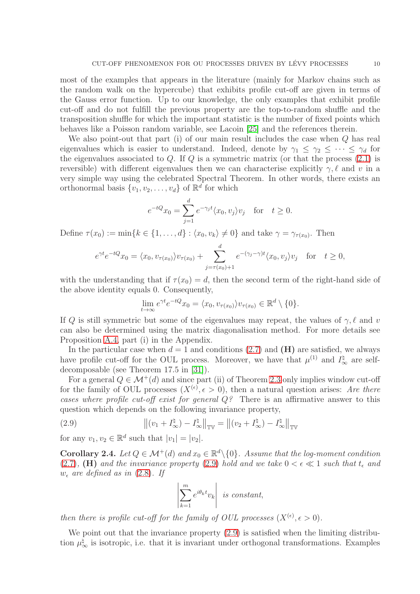most of the examples that appears in the literature (mainly for Markov chains such as the random walk on the hypercube) that exhibits profile cut-off are given in terms of the Gauss error function. Up to our knowledge, the only examples that exhibit profile cut-off and do not fulfill the previous property are the top-to-random shuffle and the transposition shuffle for which the important statistic is the number of fixed points which behaves like a Poisson random variable, see Lacoin [\[25\]](#page-32-22) and the references therein.

We also point-out that part (i) of our main result includes the case when Q has real eigenvalues which is easier to understand. Indeed, denote by  $\gamma_1 \leq \gamma_2 \leq \cdots \leq \gamma_d$  for the eigenvalues associated to Q. If Q is a symmetric matrix (or that the process  $(2.1)$ ) is reversible) with different eigenvalues then we can characterise explicitly  $\gamma, \ell$  and v in a very simple way using the celebrated Spectral Theorem. In other words, there exists an orthonormal basis  $\{v_1, v_2, \dots, v_d\}$  of  $\mathbb{R}^d$  for which

$$
e^{-tQ}x_0 = \sum_{j=1}^d e^{-\gamma_j t} \langle x_0, v_j \rangle v_j \quad \text{for} \quad t \ge 0.
$$

Define  $\tau(x_0) := \min\{k \in \{1, \ldots, d\} : \langle x_0, v_k \rangle \neq 0\}$  and take  $\gamma = \gamma_{\tau(x_0)}$ . Then

$$
e^{\gamma t}e^{-tQ}x_0 = \langle x_0, v_{\tau(x_0)} \rangle v_{\tau(x_0)} + \sum_{j=\tau(x_0)+1}^d e^{-(\gamma_j-\gamma)t} \langle x_0, v_j \rangle v_j \quad \text{for} \quad t \ge 0,
$$

with the understanding that if  $\tau(x_0) = d$ , then the second term of the right-hand side of the above identity equals 0. Consequently,

$$
\lim_{t \to \infty} e^{\gamma t} e^{-tQ} x_0 = \langle x_0, v_{\tau(x_0)} \rangle v_{\tau(x_0)} \in \mathbb{R}^d \setminus \{0\}.
$$

If Q is still symmetric but some of the eigenvalues may repeat, the values of  $\gamma$ ,  $\ell$  and v can also be determined using the matrix diagonalisation method. For more details see Proposition [A.4,](#page-29-0) part (i) in the Appendix.

In the particular case when  $d = 1$  and conditions [\(2.7\)](#page-6-0) and (H) are satisfied, we always have profile cut-off for the OUL process. Moreover, we have that  $\mu^{(1)}$  and  $I_{\infty}^{\sharp}$  are selfdecomposable (see Theorem 17.5 in [\[31\]](#page-33-5)).

For a general  $Q \in \mathcal{M}^+(d)$  and since part (ii) of Theorem [2.3](#page-8-1) only implies window cut-off for the family of OUL processes  $(X^{(\epsilon)}, \epsilon > 0)$ , then a natural question arises: Are there cases where profile cut-off exist for general  $Q$ ? There is an affirmative answer to this question which depends on the following invariance property,

(2.9) 
$$
\left\| (v_1 + I_{\infty}^{\natural}) - I_{\infty}^{\natural} \right\|_{\mathbb{TV}} = \left\| (v_2 + I_{\infty}^{\natural}) - I_{\infty}^{\natural} \right\|_{\mathbb{TV}}
$$

for any  $v_1, v_2 \in \mathbb{R}^d$  such that  $|v_1| = |v_2|$ .

<span id="page-9-1"></span>**Corollary 2.4.** Let  $Q \in \mathcal{M}^+(d)$  and  $x_0 \in \mathbb{R}^d \setminus \{0\}$ . Assume that the log-moment condition [\(2.7\)](#page-6-0), (H) and the invariance property [\(2.9\)](#page-9-0) hold and we take  $0 < \epsilon \ll 1$  such that  $t_{\epsilon}$  and  $w_{\epsilon}$  are defined as in [\(2.8\)](#page-8-2). If

<span id="page-9-0"></span>
$$
\left| \sum_{k=1}^{m} e^{i\theta_k t} v_k \right| \text{ is constant,}
$$

then there is profile cut-off for the family of OUL processes  $(X^{(\epsilon)}, \epsilon > 0)$ .

We point out that the invariance property  $(2.9)$  is satisfied when the limiting distribution  $\mu_{\infty}^{\sharp}$  is isotropic, i.e. that it is invariant under orthogonal transformations. Examples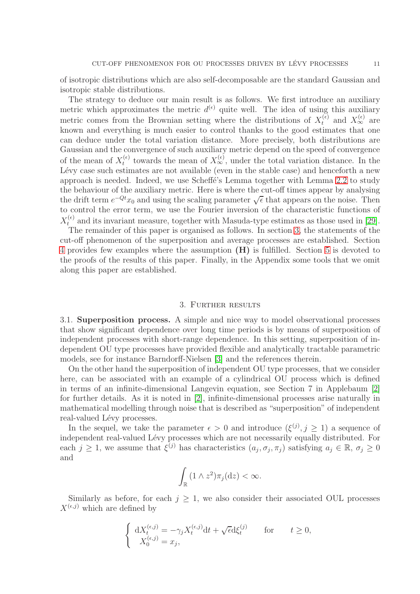of isotropic distributions which are also self-decomposable are the standard Gaussian and isotropic stable distributions.

The strategy to deduce our main result is as follows. We first introduce an auxiliary metric which approximates the metric  $d^{(\epsilon)}$  quite well. The idea of using this auxiliary metric comes from the Brownian setting where the distributions of  $X_t^{(\epsilon)}$  and  $X_\infty^{(\epsilon)}$  are known and everything is much easier to control thanks to the good estimates that one can deduce under the total variation distance. More precisely, both distributions are Gaussian and the convergence of such auxiliary metric depend on the speed of convergence of the mean of  $X_t^{(\epsilon)}$  $t_t^{(\epsilon)}$  towards the mean of  $X_{\infty}^{(\epsilon)}$ , under the total variation distance. In the Lévy case such estimates are not available (even in the stable case) and henceforth a new approach is needed. Indeed, we use Scheffe's Lemma together with Lemma [2.2](#page-8-0) to study the behaviour of the auxiliary metric. Here is where the cut-off times appear by analysing the drift term  $e^{-Qt}x_0$  and using the scaling parameter  $\sqrt{\epsilon}$  that appears on the noise. Then to control the error term, we use the Fourier inversion of the characteristic functions of  $X_t^{(\epsilon)}$  and its invariant measure, together with Masuda-type estimates as those used in [\[29\]](#page-33-7).

The remainder of this paper is organised as follows. In section [3,](#page-10-0) the statements of the cut-off phenomenon of the superposition and average processes are established. Section [4](#page-14-0) provides few examples where the assumption (H) is fulfilled. Section [5](#page-17-0) is devoted to the proofs of the results of this paper. Finally, in the Appendix some tools that we omit along this paper are established.

# 3. Further results

<span id="page-10-0"></span>3.1. Superposition process. A simple and nice way to model observational processes that show significant dependence over long time periods is by means of superposition of independent processes with short-range dependence. In this setting, superposition of independent OU type processes have provided flexible and analytically tractable parametric models, see for instance Barndorff-Nielsen [\[3\]](#page-32-23) and the references therein.

On the other hand the superposition of independent OU type processes, that we consider here, can be associated with an example of a cylindrical OU process which is defined in terms of an infinite-dimensional Langevin equation, see Section 7 in Applebaum [\[2\]](#page-32-24) for further details. As it is noted in [\[2\]](#page-32-24), infinite-dimensional processes arise naturally in mathematical modelling through noise that is described as "superposition" of independent real-valued Lévy processes.

In the sequel, we take the parameter  $\epsilon > 0$  and introduce  $(\xi^{(j)}, j \ge 1)$  a sequence of independent real-valued Lévy processes which are not necessarily equally distributed. For each  $j \ge 1$ , we assume that  $\xi^{(j)}$  has characteristics  $(a_j, \sigma_j, \pi_j)$  satisfying  $a_j \in \mathbb{R}$ ,  $\sigma_j \ge 0$ and

$$
\int_{\mathbb{R}} (1 \wedge z^2) \pi_j(\mathrm{d}z) < \infty.
$$

Similarly as before, for each  $j \geq 1$ , we also consider their associated OUL processes  $X^{(\epsilon,j)}$  which are defined by

$$
\begin{cases} dX_t^{(\epsilon,j)} = -\gamma_j X_t^{(\epsilon,j)} dt + \sqrt{\epsilon} d\xi_t^{(j)} & \text{for} \qquad t \ge 0, \\ X_0^{(\epsilon,j)} = x_j, \end{cases}
$$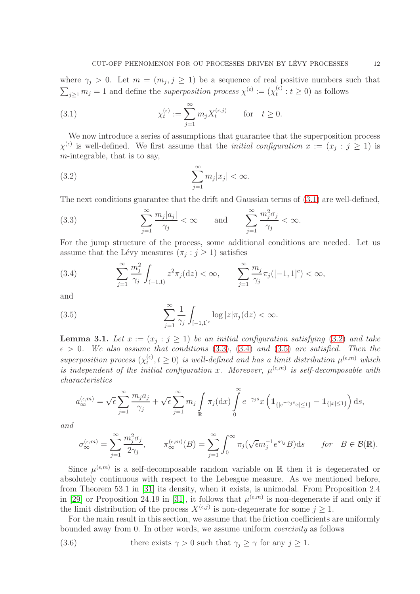where  $\gamma_j > 0$ . Let  $m = (m_j, j \ge 1)$  be a sequence of real positive numbers such that  $\sum_{j\geq 1} m_j = 1$  and define the superposition process  $\chi^{(\epsilon)} := (\chi_t^{(\epsilon)})$  $t_t^{(\epsilon)}$  :  $t \geq 0$ ) as follows

<span id="page-11-0"></span>(3.1) 
$$
\chi_t^{(\epsilon)} := \sum_{j=1}^{\infty} m_j X_t^{(\epsilon,j)} \quad \text{for} \quad t \ge 0.
$$

We now introduce a series of assumptions that guarantee that the superposition process  $\chi^{(\epsilon)}$  is well-defined. We first assume that the *initial configuration*  $x := (x_j : j \ge 1)$  is m-integrable, that is to say,

<span id="page-11-1"></span>(3.2) 
$$
\sum_{j=1}^{\infty} m_j |x_j| < \infty.
$$

The next conditions guarantee that the drift and Gaussian terms of  $(3.1)$  are well-defined,

<span id="page-11-2"></span>(3.3) 
$$
\sum_{j=1}^{\infty} \frac{m_j |a_j|}{\gamma_j} < \infty \quad \text{and} \quad \sum_{j=1}^{\infty} \frac{m_j^2 \sigma_j}{\gamma_j} < \infty.
$$

For the jump structure of the process, some additional conditions are needed. Let us assume that the Lévy measures  $(\pi_j : j \geq 1)$  satisfies

<span id="page-11-3"></span>(3.4) 
$$
\sum_{j=1}^{\infty} \frac{m_j^2}{\gamma_j} \int_{(-1,1)} z^2 \pi_j(\mathrm{d}z) < \infty, \qquad \sum_{j=1}^{\infty} \frac{m_j}{\gamma_j} \pi_j([-1,1]^c) < \infty,
$$

and

<span id="page-11-4"></span>(3.5) 
$$
\sum_{j=1}^{\infty} \frac{1}{\gamma_j} \int_{[-1,1]^c} \log |z| \pi_j(\mathrm{d} z) < \infty.
$$

<span id="page-11-6"></span>**Lemma 3.1.** Let  $x := (x_j : j \ge 1)$  be an initial configuration satisfying [\(3.2\)](#page-11-1) and take  $\epsilon > 0$ . We also assume that conditions [\(3.3\)](#page-11-2), [\(3.4\)](#page-11-3) and [\(3.5\)](#page-11-4) are satisfied. Then the superposition process  $(\chi_t^{(\epsilon)})$  $t(t), t \geq 0$  is well-defined and has a limit distribution  $\mu^{(\epsilon, m)}$  which is independent of the initial configuration x. Moreover,  $\mu^{(\epsilon,m)}$  is self-decomposable with characteristics

$$
a_{\infty}^{(\epsilon,m)} = \sqrt{\epsilon} \sum_{j=1}^{\infty} \frac{m_j a_j}{\gamma_j} + \sqrt{\epsilon} \sum_{j=1}^{\infty} m_j \int_{\mathbb{R}} \pi_j(\mathrm{d}x) \int_{0}^{\infty} e^{-\gamma_j s} x \left( \mathbf{1}_{\{|e^{-\gamma_j s} x| \le 1\}} - \mathbf{1}_{\{|x| \le 1\}} \right) \mathrm{d}s,
$$

and

$$
\sigma_{\infty}^{(\epsilon,m)} = \sum_{j=1}^{\infty} \frac{m_j^2 \sigma_j}{2\gamma_j}, \qquad \pi_{\infty}^{(\epsilon,m)}(B) = \sum_{j=1}^{\infty} \int_0^{\infty} \pi_j(\sqrt{\epsilon}m_j^{-1}e^{s\gamma_j}B)ds \qquad \text{for} \quad B \in \mathcal{B}(\mathbb{R}).
$$

Since  $\mu^{(\epsilon,m)}$  is a self-decomposable random variable on R then it is degenerated or absolutely continuous with respect to the Lebesgue measure. As we mentioned before, from Theorem 53.1 in [\[31\]](#page-33-5) its density, when it exists, is unimodal. From Proposition 2.4 in [\[29\]](#page-33-7) or Proposition 24.19 in [\[31\]](#page-33-5), it follows that  $\mu^{(\epsilon,m)}$  is non-degenerate if and only if the limit distribution of the process  $X^{(\epsilon,j)}$  is non-degenerate for some  $j \geq 1$ .

For the main result in this section, we assume that the friction coefficients are uniformly bounded away from 0. In other words, we assume uniform coercivity as follows

<span id="page-11-5"></span>(3.6) there exists 
$$
\gamma > 0
$$
 such that  $\gamma_j \ge \gamma$  for any  $j \ge 1$ .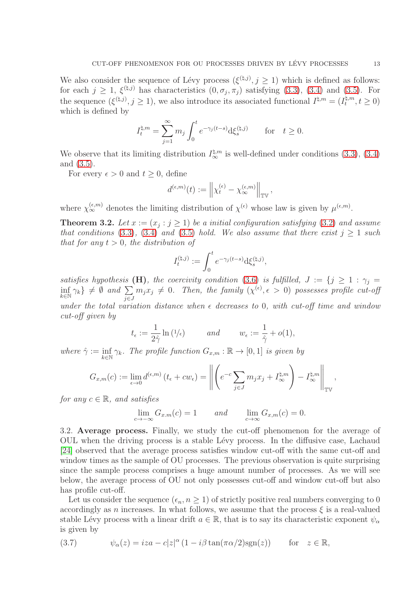We also consider the sequence of Lévy process  $(\xi^{(\natural,j)}, j \geq 1)$  which is defined as follows: for each  $j \geq 1$ ,  $\xi^{(\natural,j)}$  has characteristics  $(0, \sigma_j, \pi_j)$  satisfying  $(3.3)$ ,  $(3.4)$  and  $(3.5)$ . For the sequence  $(\xi^{(\natural,j)}, j \geq 1)$ , we also introduce its associated functional  $I^{\natural,m} = (I_t^{\natural,m})$  $t^{q,m}, t \geq 0$ which is defined by

$$
I_t^{\natural,m} = \sum_{j=1}^{\infty} m_j \int_0^t e^{-\gamma_j(t-s)} d\xi_s^{(\natural,j)} \quad \text{for} \quad t \ge 0.
$$

We observe that its limiting distribution  $I_{\infty}^{\sharp,m}$  is well-defined under conditions [\(3.3\)](#page-11-2), [\(3.4\)](#page-11-3) and [\(3.5\)](#page-11-4).

For every  $\epsilon > 0$  and  $t > 0$ , define

$$
d^{(\epsilon,m)}(t):=\left\|\chi^{(\epsilon)}_t-\chi^{(\epsilon,m)}_\infty\right\|_{\mathbb{T}\mathbb{V}},
$$

where  $\chi_{\infty}^{(\epsilon,m)}$  denotes the limiting distribution of  $\chi^{(\epsilon)}$  whose law is given by  $\mu^{(\epsilon,m)}$ .

<span id="page-12-0"></span>**Theorem 3.2.** Let  $x := (x_j : j \ge 1)$  be a initial configuration satisfying [\(3.2\)](#page-11-1) and assume that conditions [\(3.3\)](#page-11-2), [\(3.4\)](#page-11-3) and [\(3.5\)](#page-11-4) hold. We also assume that there exist  $j \geq 1$  such that for any  $t > 0$ , the distribution of

$$
I_t^{(\natural,j)}:=\int_0^t e^{-\gamma_j(t-s)}\mathrm{d}\xi_s^{(\natural,j)},
$$

satisfies hypothesis (H), the coercivity condition [\(3.6\)](#page-11-5) is fulfilled,  $J := \{j \geq 1 : \gamma_j = j \}$ inf  $\inf_{k \in \mathbb{N}} \gamma_k \} \neq \emptyset$  and  $\sum_{j \in J}$ j∈J  $m_j x_j \neq 0$ . Then, the family  $(\chi^{(\epsilon)}, \epsilon > 0)$  possesses profile cut-off under the total variation distance when  $\epsilon$  decreases to 0, with cut-off time and window cut-off given by

$$
t_{\epsilon} := \frac{1}{2\hat{\gamma}} \ln (1/\epsilon)
$$
 and  $w_{\epsilon} := \frac{1}{\hat{\gamma}} + o(1),$ 

where  $\hat{\gamma} := \inf$  $inf_{k \in \mathbb{N}} \gamma_k$ . The profile function  $G_{x,m} : \mathbb{R} \to [0,1]$  is given by

$$
G_{x,m}(c) := \lim_{\epsilon \to 0} d^{(\epsilon,m)}(t_{\epsilon} + cw_{\epsilon}) = \left\| \left( e^{-c} \sum_{j \in J} m_j x_j + I_{\infty}^{\natural, m} \right) - I_{\infty}^{\natural, m} \right\|_{\mathbb{T}^{\mathbb{V}}},
$$

for any  $c \in \mathbb{R}$ , and satisfies

$$
\lim_{c \to -\infty} G_{x,m}(c) = 1 \quad and \quad \lim_{c \to \infty} G_{x,m}(c) = 0.
$$

3.2. Average process. Finally, we study the cut-off phenomenon for the average of OUL when the driving process is a stable L´evy process. In the diffusive case, Lachaud [\[24\]](#page-32-6) observed that the average process satisfies window cut-off with the same cut-off and window times as the sample of OU processes. The previous observation is quite surprising since the sample process comprises a huge amount number of processes. As we will see below, the average process of OU not only possesses cut-off and window cut-off but also has profile cut-off.

Let us consider the sequence  $(\epsilon_n, n \geq 1)$  of strictly positive real numbers converging to 0 accordingly as n increases. In what follows, we assume that the process  $\xi$  is a real-valued stable Lévy process with a linear drift  $a \in \mathbb{R}$ , that is to say its characteristic exponent  $\psi_{\alpha}$ is given by

(3.7) 
$$
\psi_{\alpha}(z) = iza - c|z|^{\alpha} (1 - i\beta \tan(\pi \alpha/2) \operatorname{sgn}(z)) \quad \text{for} \quad z \in \mathbb{R},
$$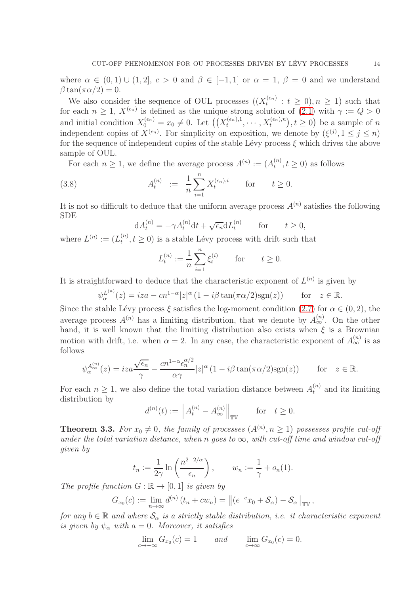where  $\alpha \in (0,1) \cup (1,2], c > 0$  and  $\beta \in [-1,1]$  or  $\alpha = 1, \beta = 0$  and we understand  $\beta \tan(\pi \alpha/2) = 0.$ 

We also consider the sequence of OUL processes  $((X_t^{(\epsilon_n)}$  $t_t^{(\epsilon_n)}$  :  $t \geq 0, n \geq 1$ ) such that for each  $n \geq 1$ ,  $X^{(\epsilon_n)}$  is defined as the unique strong solution of  $(2.1)$  with  $\gamma := Q > 0$ and initial condition  $X_0^{(\epsilon_n)} = x_0 \neq 0$ . Let  $\left( \left( X_t^{(\epsilon_n),1} \right)$  $(t_n^{\epsilon_n}), \dots, X_t^{\epsilon_n}, n), t \geq 0$  be a sample of n independent copies of  $X^{(\epsilon_n)}$ . For simplicity on exposition, we denote by  $(\xi^{(j)}, 1 \le j \le n)$ for the sequence of independent copies of the stable Lévy process  $\xi$  which drives the above sample of OUL.

For each  $n \geq 1$ , we define the average process  $A^{(n)} := (A_t^{(n)})$  $t^{(n)}$ ,  $t \geq 0$ ) as follows

(3.8) 
$$
A_t^{(n)} := \frac{1}{n} \sum_{i=1}^n X_t^{(\epsilon_n), i} \quad \text{for} \quad t \ge 0.
$$

It is not so difficult to deduce that the uniform average process  $A^{(n)}$  satisfies the following SDE

$$
dA_t^{(n)} = -\gamma A_t^{(n)} dt + \sqrt{\epsilon_n} dL_t^{(n)} \quad \text{for} \quad t \ge 0,
$$

where  $L^{(n)} := (L_t^{(n)}$  $(t^n, t \geq 0)$  is a stable Lévy process with drift such that

$$
L_t^{(n)} := \frac{1}{n} \sum_{i=1}^n \xi_t^{(i)}
$$
 for  $t \ge 0$ .

It is straightforward to deduce that the characteristic exponent of  $L^{(n)}$  is given by

$$
\psi_{\alpha}^{L^{(n)}}(z) = iza - cn^{1-\alpha}|z|^{\alpha} (1 - i\beta \tan(\pi \alpha/2) \text{sgn}(z)) \quad \text{for} \quad z \in \mathbb{R}.
$$

Since the stable Lévy process  $\xi$  satisfies the log-moment condition [\(2.7\)](#page-6-0) for  $\alpha \in (0, 2)$ , the average process  $A^{(n)}$  has a limiting distribution, that we denote by  $A^{(n)}_{\infty}$ . On the other hand, it is well known that the limiting distribution also exists when  $\xi$  is a Brownian motion with drift, i.e. when  $\alpha = 2$ . In any case, the characteristic exponent of  $A_{\infty}^{(n)}$  is as follows

$$
\psi_{\alpha}^{A_{\infty}^{(n)}}(z) = iza \frac{\sqrt{\epsilon_n}}{\gamma} - \frac{cn^{1-\alpha} \epsilon_n^{\alpha/2}}{\alpha \gamma} |z|^{\alpha} (1 - i\beta \tan(\pi \alpha/2) \text{sgn}(z)) \qquad \text{for} \quad z \in \mathbb{R}.
$$

For each  $n \geq 1$ , we also define the total variation distance between  $A_t^{(n)}$  and its limiting distribution by

$$
d^{(n)}(t) := \left\| A_t^{(n)} - A_{\infty}^{(n)} \right\|_{\mathbb{TV}} \quad \text{for} \quad t \ge 0.
$$

<span id="page-13-0"></span>**Theorem 3.3.** For  $x_0 \neq 0$ , the family of processes  $(A^{(n)}, n \ge 1)$  possesses profile cut-off under the total variation distance, when n goes to  $\infty$ , with cut-off time and window cut-off given by

$$
t_n := \frac{1}{2\gamma} \ln \left( \frac{n^{2-2/\alpha}}{\epsilon_n} \right), \qquad w_n := \frac{1}{\gamma} + o_n(1).
$$

The profile function  $G : \mathbb{R} \to [0,1]$  is given by

$$
G_{x_0}(c) := \lim_{n \to \infty} d^{(n)}(t_n + cw_n) = ||(e^{-c}x_0 + \mathcal{S}_{\alpha}) - \mathcal{S}_{\alpha}||_{\mathbb{TV}},
$$

for any  $b \in \mathbb{R}$  and where  $\mathcal{S}_{\alpha}$  is a strictly stable distribution, i.e. it characteristic exponent is given by  $\psi_{\alpha}$  with  $a = 0$ . Moreover, it satisfies

$$
\lim_{c \to -\infty} G_{x_0}(c) = 1 \quad \text{and} \quad \lim_{c \to \infty} G_{x_0}(c) = 0.
$$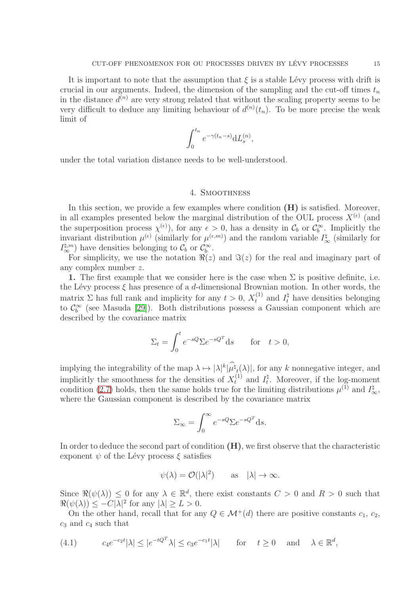It is important to note that the assumption that  $\xi$  is a stable Lévy process with drift is crucial in our arguments. Indeed, the dimension of the sampling and the cut-off times  $t_n$ in the distance  $d^{(n)}$  are very strong related that without the scaling property seems to be very difficult to deduce any limiting behaviour of  $d^{(n)}(t_n)$ . To be more precise the weak limit of

$$
\int_0^{t_n} e^{-\gamma(t_n-s)} dL_s^{(n)},
$$

<span id="page-14-0"></span>under the total variation distance needs to be well-understood.

#### 4. Smoothness

In this section, we provide a few examples where condition  $(H)$  is satisfied. Moreover, in all examples presented below the marginal distribution of the OUL process  $X^{(\epsilon)}$  (and the superposition process  $\chi^{(\epsilon)}$ , for any  $\epsilon > 0$ , has a density in  $\mathcal{C}_b$  or  $\mathcal{C}_b^{\infty}$ . Implicitly the invariant distribution  $\mu^{(\epsilon)}$  (similarly for  $\mu^{(\epsilon,m)}$ ) and the random variable  $I^{\sharp}_{\infty}$  (similarly for  $I_{\infty}^{\sharp,m}$  have densities belonging to  $\mathcal{C}_b$  or  $\mathcal{C}_{\infty}^{\infty}$ .

For simplicity, we use the notation  $\Re(z)$  and  $\Im(z)$  for the real and imaginary part of any complex number z.

1. The first example that we consider here is the case when  $\Sigma$  is positive definite, i.e. the Lévy process  $\xi$  has presence of a d-dimensional Brownian motion. In other words, the matrix  $\Sigma$  has full rank and implicity for any  $t > 0$ ,  $X_t^{(1)}$  and  $I_t^{\dagger}$  have densities belonging to  $\mathcal{C}_b^{\infty}$  (see Masuda [\[29\]](#page-33-7)). Both distributions possess a Gaussian component which are described by the covariance matrix

$$
\Sigma_t = \int_0^t e^{-sQ} \Sigma e^{-sQ^T} ds \quad \text{for} \quad t > 0,
$$

implying the integrability of the map  $\lambda \mapsto |\lambda|^k |\mu_{\lambda}^{\mathfrak{h}}(\lambda)|$ , for any k nonnegative integer, and implicitly the smoothness for the densities of  $X_t^{(1)}$  and  $I_t^{\dagger}$  $t^{\mathfrak{q}}$ . Moreover, if the log-moment condition [\(2.7\)](#page-6-0) holds, then the same holds true for the limiting distributions  $\mu^{(1)}$  and  $I^{\dagger}_{\infty}$ , where the Gaussian component is described by the covariance matrix

$$
\Sigma_{\infty} = \int_0^{\infty} e^{-sQ} \Sigma e^{-sQ^T} ds.
$$

In order to deduce the second part of condition  $(H)$ , we first observe that the characteristic exponent  $\psi$  of the Lévy process  $\xi$  satisfies

$$
\psi(\lambda) = \mathcal{O}(|\lambda|^2)
$$
 as  $|\lambda| \to \infty$ .

Since  $\Re(\psi(\lambda)) \leq 0$  for any  $\lambda \in \mathbb{R}^d$ , there exist constants  $C > 0$  and  $R > 0$  such that  $\Re(\psi(\lambda)) \leq -C|\lambda|^2$  for any  $|\lambda| \geq L > 0$ .

On the other hand, recall that for any  $Q \in \mathcal{M}^+(d)$  there are positive constants  $c_1, c_2$ ,  $c_3$  and  $c_4$  such that

<span id="page-14-1"></span>(4.1) 
$$
c_4 e^{-c_2 t} |\lambda| \le |e^{-tQ^T} \lambda| \le c_3 e^{-c_1 t} |\lambda| \quad \text{for} \quad t \ge 0 \quad \text{and} \quad \lambda \in \mathbb{R}^d,
$$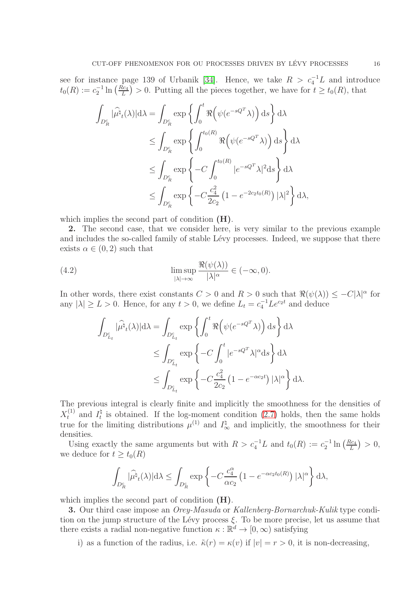see for instance page 139 of Urbanik [\[34\]](#page-33-9). Hence, we take  $R > c_4^{-1}L$  and introduce  $t_0(R) := c_2^{-1} \ln \left( \frac{R c_4}{L} \right)$  $\frac{\tilde{R}c_4}{L}$  > 0. Putting all the pieces together, we have for  $t \ge t_0(R)$ , that

$$
\int_{D_R^c} |\widehat{\mu^{\natural}}_t(\lambda)| \, d\lambda = \int_{D_R^c} \exp \left\{ \int_0^t \Re \left( \psi(e^{-sQ^T} \lambda) \right) \, ds \right\} d\lambda
$$
\n
$$
\leq \int_{D_R^c} \exp \left\{ \int_0^{t_0(R)} \Re \left( \psi(e^{-sQ^T} \lambda) \right) \, ds \right\} d\lambda
$$
\n
$$
\leq \int_{D_R^c} \exp \left\{ -C \int_0^{t_0(R)} |e^{-sQ^T} \lambda|^2 \, ds \right\} d\lambda
$$
\n
$$
\leq \int_{D_R^c} \exp \left\{ -C \frac{c_4^2}{2c_2} \left( 1 - e^{-2c_2 t_0(R)} \right) |\lambda|^2 \right\} d\lambda,
$$

which implies the second part of condition  $(H)$ .

2. The second case, that we consider here, is very similar to the previous example and includes the so-called family of stable Lévy processes. Indeed, we suppose that there exists  $\alpha \in (0, 2)$  such that

(4.2) 
$$
\limsup_{|\lambda| \to \infty} \frac{\Re(\psi(\lambda))}{|\lambda|^{\alpha}} \in (-\infty, 0).
$$

In other words, there exist constants  $C > 0$  and  $R > 0$  such that  $\Re(\psi(\lambda)) \leq -C|\lambda|^{\alpha}$  for any  $|\lambda| \ge L > 0$ . Hence, for any  $t > 0$ , we define  $L_t = c_4^{-1} L e^{c_2 t}$  and deduce

$$
\int_{D_{L_t}^c} |\widehat{\mu^{\natural}}_t(\lambda)| \mathrm{d}\lambda = \int_{D_{L_t}^c} \exp \left\{ \int_0^t \Re \left( \psi(e^{-sQ^T} \lambda) \right) \mathrm{d}s \right\} \mathrm{d}\lambda
$$
\n
$$
\leq \int_{D_{L_t}^c} \exp \left\{ -C \int_0^t |e^{-sQ^T} \lambda|^{\alpha} \mathrm{d}s \right\} \mathrm{d}\lambda
$$
\n
$$
\leq \int_{D_{L_t}^c} \exp \left\{ -C \frac{c_4^2}{2c_2} \left( 1 - e^{-\alpha c_2 t} \right) |\lambda|^{\alpha} \right\} \mathrm{d}\lambda.
$$

The previous integral is clearly finite and implicitly the smoothness for the densities of  $X_t^{(1)}$  and  $I_t^{\sharp}$  $t_t$  is obtained. If the log-moment condition [\(2.7\)](#page-6-0) holds, then the same holds true for the limiting distributions  $\mu^{(1)}$  and  $I_{\infty}^{\dagger}$  and implicitly, the smoothness for their densities.

Using exactly the same arguments but with  $R > c_4^{-1}L$  and  $t_0(R) := c_2^{-1} \ln \left( \frac{Rc_4}{L} \right)$  $\frac{\partial c_4}{\partial L}\big\}\,>\,0,$ we deduce for  $t \ge t_0(R)$ 

$$
\int_{D_R^c} |\widehat{\mu^{\natural}}_t(\lambda)| \mathrm{d}\lambda \le \int_{D_R^c} \exp \left\{ -C \frac{c_4^{\alpha}}{\alpha c_2} \left( 1 - e^{-\alpha c_2 t_0(R)} \right) |\lambda|^{\alpha} \right\} \mathrm{d}\lambda,
$$

which implies the second part of condition  $(H)$ .

**3.** Our third case impose an *Orey-Masuda* or Kallenberg-Bornarchuk-Kulik type condition on the jump structure of the Lévy process  $\xi$ . To be more precise, let us assume that there exists a radial non-negative function  $\kappa : \mathbb{R}^d \to [0, \infty)$  satisfying

i) as a function of the radius, i.e.  $\tilde{\kappa}(r) = \kappa(v)$  if  $|v| = r > 0$ , it is non-decreasing,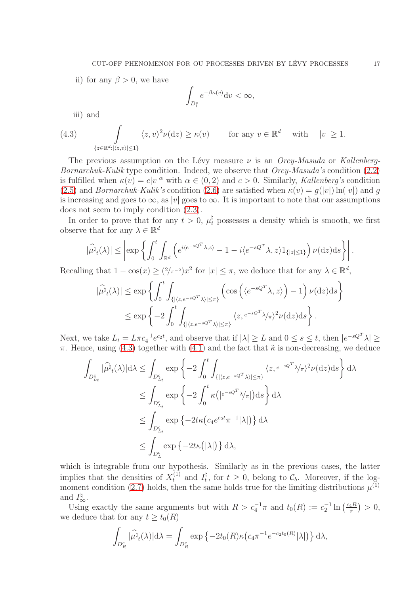ii) for any  $\beta > 0$ , we have

$$
\int_{D_1^c} e^{-\beta \kappa(v)} \mathrm{d}v < \infty,
$$

<span id="page-16-0"></span>iii) and

(4.3) 
$$
\int_{\{z \in \mathbb{R}^d : |\langle z, v \rangle| \le 1\}} \langle z, v \rangle^2 \nu(\mathrm{d}z) \ge \kappa(v) \quad \text{for any } v \in \mathbb{R}^d \quad \text{with} \quad |v| \ge 1.
$$

The previous assumption on the Lévy measure  $\nu$  is an *Orey-Masuda* or Kallenberg-Bornarchuk-Kulik type condition. Indeed, we observe that Orey-Masuda's condition [\(2.2\)](#page-5-2) is fulfilled when  $\kappa(v) = c|v|^{\alpha}$  with  $\alpha \in (0, 2)$  and  $c > 0$ . Similarly, Kallenberg's condition [\(2.5\)](#page-5-3) and *Bornarchuk-Kulik's* condition [\(2.6\)](#page-6-1) are satisfied when  $\kappa(v) = g(|v|) \ln(|v|)$  and g is increasing and goes to  $\infty$ , as |v| goes to  $\infty$ . It is important to note that our assumptions does not seem to imply condition [\(2.3\)](#page-5-1).

In order to prove that for any  $t > 0$ ,  $\mu_t^{\dagger}$  possesses a density which is smooth, we first observe that for any  $\lambda \in \mathbb{R}^d$ 

$$
|\widehat{\mu^{\natural}}_t(\lambda)| \leq \left|\exp\left\{\int_0^t \int_{\mathbb{R}^d} \left(e^{i\langle e^{-sQ^T\lambda,z}\rangle}-1-i\langle e^{-sQ^T\lambda,z}\rangle 1_{\{|z|\leq 1\}}\right) \nu(\mathrm{d} z)\mathrm{d} s\right\}\right|.
$$

Recalling that  $1 - \cos(x) \ge (2/\pi^{-2})x^2$  for  $|x| \le \pi$ , we deduce that for any  $\lambda \in \mathbb{R}^d$ ,

$$
|\widehat{\mu^{\natural}}_{t}(\lambda)| \leq \exp \left\{ \int_{0}^{t} \int_{\{|\langle z, e^{-sQ^{T}} \lambda \rangle| \leq \pi\}} \left( \cos \left( \langle e^{-sQ^{T}} \lambda, z \rangle \right) - 1 \right) \nu(\mathrm{d}z) \mathrm{d}s \right\}
$$

$$
\leq \exp \left\{ -2 \int_{0}^{t} \int_{\{|\langle z, e^{-sQ^{T}} \lambda \rangle| \leq \pi\}} \langle z, e^{-sQ^{T}} \lambda/\pi \rangle^{2} \nu(\mathrm{d}z) \mathrm{d}s \right\}.
$$

Next, we take  $L_t = L\pi c_4^{-1}e^{c_2t}$ , and observe that if  $|\lambda| \geq L$  and  $0 \leq s \leq t$ , then  $|e^{-sQ^T}\lambda| \geq$  $\pi$ . Hence, using [\(4.3\)](#page-16-0) together with [\(4.1\)](#page-14-1) and the fact that  $\tilde{\kappa}$  is non-decreasing, we deduce

$$
\int_{D_{L_t}^c} |\widehat{\mu}^{\natural}( \lambda)| \, d\lambda \leq \int_{D_{L_t}^c} \exp \left\{ -2 \int_0^t \int_{\{ | \langle z, e^{-sQ^T} \lambda \rangle | \leq \pi \}} \langle z, e^{-sQ^T} \lambda / \pi \rangle^2 \nu(\mathrm{d}z) \mathrm{d}s \right\} \, d\lambda
$$
\n
$$
\leq \int_{D_{L_t}^c} \exp \left\{ -2 \int_0^t \kappa \left( |e^{-sQ^T} \lambda / \pi| \right) \mathrm{d}s \right\} \, d\lambda
$$
\n
$$
\leq \int_{D_{L_t}^c} \exp \left\{ -2t \kappa \left( c_4 e^{c_2 t} \pi^{-1} |\lambda| \right) \right\} \, d\lambda
$$
\n
$$
\leq \int_{D_L^c} \exp \left\{ -2t \kappa \left( |\lambda| \right) \right\} \mathrm{d}\lambda,
$$

which is integrable from our hypothesis. Similarly as in the previous cases, the latter implies that the densities of  $X_t^{(1)}$  and  $I_t^{\dagger}$ <sup>4</sup>, for  $t \geq 0$ , belong to  $\mathcal{C}_b$ . Moreover, if the log-moment condition [\(2.7\)](#page-6-0) holds, then the same holds true for the limiting distributions  $\mu^{(1)}$ and  $I_{\infty}^{\natural}$ .

Using exactly the same arguments but with  $R > c_4^{-1}\pi$  and  $t_0(R) := c_2^{-1} \ln \left( \frac{c_4 R}{\pi} \right)$  $\frac{4R}{\pi}$ ) > 0, we deduce that for any  $t \geq t_0(R)$ 

$$
\int_{D_R^c} |\widehat{\mu^{\natural}}_t(\lambda)| \mathrm{d}\lambda = \int_{D_R^c} \exp \left\{-2t_0(R)\kappa \left(c_4 \pi^{-1} e^{-c_2 t_0(R)}|\lambda|\right)\right\} \mathrm{d}\lambda,
$$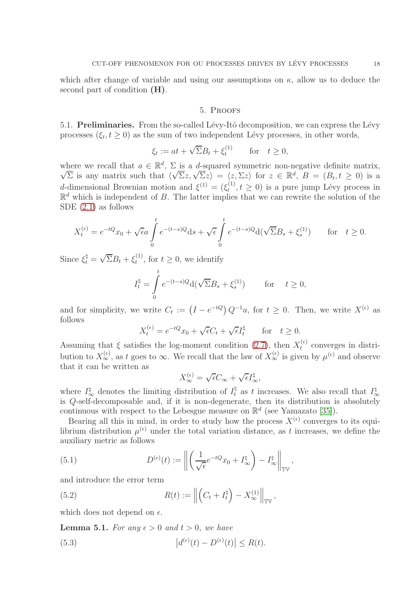<span id="page-17-0"></span>which after change of variable and using our assumptions on  $\kappa$ , allow us to deduce the second part of condition (H).

#### 5. Proofs

5.1. Preliminaries. From the so-called Lévy-Itô decomposition, we can express the Lévy processes  $(\xi_t, t \geq 0)$  as the sum of two independent Lévy processes, in other words,

$$
\xi_t := at + \sqrt{\Sigma}B_t + \xi_t^{(1)} \quad \text{for} \quad t \ge 0,
$$

where we recall that  $a \in \mathbb{R}^d$ ,  $\Sigma$  is a d-squared symmetric non-negative definite matrix, Where we recall that  $\langle \sqrt{\Sigma} z, \sqrt{\Sigma} z \rangle = \langle z, \Sigma z \rangle$  for  $z \in \mathbb{R}^d$ ,  $B = (B_t, t \ge 0)$  is a d-dimensional Brownian motion and  $\xi^{(1)} = (\xi_t^{(1)})$  $t_t^{(1)}$ ,  $t \geq 0$ ) is a pure jump Lévy process in  $\mathbb{R}^d$  which is independent of B. The latter implies that we can rewrite the solution of the SDE (2.[1\)](#page-4-0) as follows

$$
X_t^{(\epsilon)} = e^{-tQ}x_0 + \sqrt{\epsilon}a \int_0^t e^{-(t-s)Q} ds + \sqrt{\epsilon} \int_0^t e^{-(t-s)Q} d(\sqrt{\Sigma}B_s + \xi_s^{(1)}) \quad \text{for} \quad t \ge 0.
$$

Since  $\xi_t^{\natural} = \sqrt{\Sigma}B_t + \xi_t^{(1)}$  $t_t^{(1)}$ , for  $t \geq 0$ , we identify

$$
I_t^{\natural} = \int_0^t e^{-(t-s)Q} d(\sqrt{\Sigma}B_s + \xi_s^{(1)}) \quad \text{for} \quad t \ge 0,
$$

and for simplicity, we write  $C_t := (I - e^{-tQ}) Q^{-1}a$ , for  $t \geq 0$ . Then, we write  $X^{(\epsilon)}$  as follows

$$
X_t^{(\epsilon)} = e^{-tQ}x_0 + \sqrt{\epsilon}C_t + \sqrt{\epsilon}I_t^{\natural} \quad \text{for} \quad t \ge 0.
$$

Assuming that  $\xi$  satisfies the log-moment condition [\(2.7\)](#page-6-0), then  $X_t^{(\epsilon)}$  $t_t^{(t)}$  converges in distribution to  $X_{\infty}^{(\epsilon)}$ , as t goes to  $\infty$ . We recall that the law of  $X_{\infty}^{(\epsilon)}$  is given by  $\mu^{(\epsilon)}$  and observe that it can be written as

$$
X_{\infty}^{(\epsilon)} = \sqrt{\epsilon}C_{\infty} + \sqrt{\epsilon}I_{\infty}^{\natural},
$$

where  $I_{\infty}^{\natural}$  denotes the limiting distribution of  $I_t^{\natural}$  as t increases. We also recall that  $I_{\infty}^{\natural}$  $Q$ -self-decomposable and, if it is non-degenerate, then its distribution is absolutely continuous with respect to the Lebesgue measure on  $\mathbb{R}^d$  (see Yamazato [\[35\]](#page-33-8)).

Bearing all this in mind, in order to study how the process  $X^{(\epsilon)}$  converges to its equilibrium distribution  $\mu^{(\epsilon)}$  under the total variation distance, as t increases, we define the auxiliary metric as follows

<span id="page-17-1"></span>(5.1) 
$$
D^{(\epsilon)}(t) := \left\| \left( \frac{1}{\sqrt{\epsilon}} e^{-tQ} x_0 + I^{\natural}_{\infty} \right) - I^{\natural}_{\infty} \right\|_{\mathbb{T}^{\mathbb{V}}},
$$

and introduce the error term

<span id="page-17-2"></span>(5.2) 
$$
R(t) := \left\| \left( C_t + I_t^{\natural} \right) - X_{\infty}^{(1)} \right\|_{\mathbb{TV}},
$$

which does not depend on  $\epsilon$ .

<span id="page-17-4"></span>**Lemma 5.1.** For any  $\epsilon > 0$  and  $t > 0$ , we have

<span id="page-17-3"></span>(5.3) 
$$
|d^{(\epsilon)}(t) - D^{(\epsilon)}(t)| \le R(t).
$$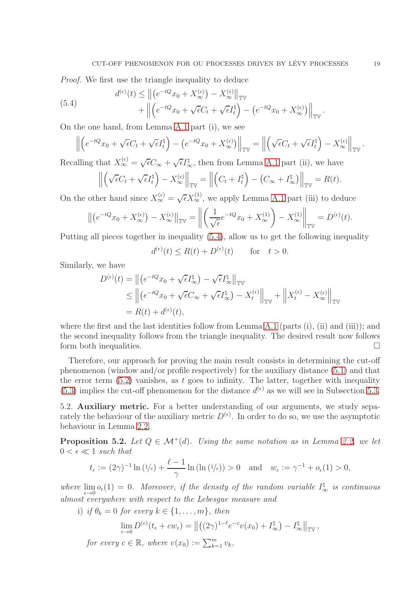Proof. We first use the triangle inequality to deduce

<span id="page-18-0"></span>(5.4) 
$$
d^{(\epsilon)}(t) \leq \left\| \left( e^{-tQ} x_0 + X_{\infty}^{(\epsilon)} \right) - X_{\infty}^{(\epsilon)} \right\|_{\mathbb{T}^{\mathbb{V}}} + \left\| \left( e^{-tQ} x_0 + \sqrt{\epsilon} C_t + \sqrt{\epsilon} I_t^{\natural} \right) - \left( e^{-tQ} x_0 + X_{\infty}^{(\epsilon)} \right) \right\|_{\mathbb{T}^{\mathbb{V}}}.
$$

On the one hand, from Lemma [A.1](#page-29-1) part (i), we see

$$
\left\| \left( e^{-tQ} x_0 + \sqrt{\epsilon} C_t + \sqrt{\epsilon} I_t^{\natural} \right) - \left( e^{-tQ} x_0 + X_{\infty}^{(\epsilon)} \right) \right\|_{\mathbb{TV}} = \left\| \left( \sqrt{\epsilon} C_t + \sqrt{\epsilon} I_t^{\natural} \right) - X_{\infty}^{(\epsilon)} \right\|_{\mathbb{TV}}.
$$

Recalling that  $X_{\infty}^{(\epsilon)} = \sqrt{\epsilon}C_{\infty} + \sqrt{\epsilon}I_{\infty}^{\natural}$ , then from Lemma [A.1](#page-29-1) part (ii), we have

$$
\left\| \left( \sqrt{\epsilon} C_t + \sqrt{\epsilon} I_t^{\natural} \right) - X_{\infty}^{(\epsilon)} \right\|_{\mathbb{TV}} = \left\| \left( C_t + I_t^{\natural} \right) - \left( C_{\infty} + I_{\infty}^{\natural} \right) \right\|_{\mathbb{TV}} = R(t).
$$

On the other hand since  $X_{\infty}^{(\epsilon)} = \sqrt{\epsilon} X_{\infty}^{(1)}$ , we apply Lemma [A.1](#page-29-1) part (iii) to deduce

$$
\left\| \left( e^{-tQ} x_0 + X_\infty^{(\epsilon)} \right) - X_\infty^{(\epsilon)} \right\|_{\mathbb{TV}} = \left\| \left( \frac{1}{\sqrt{\epsilon}} e^{-tQ} x_0 + X_\infty^{(1)} \right) - X_\infty^{(1)} \right\|_{\mathbb{TV}} = D^{(\epsilon)}(t).
$$

Putting all pieces together in inequality [\(5.4\)](#page-18-0), allow us to get the following inequality

$$
d^{(\epsilon)}(t) \le R(t) + D^{(\epsilon)}(t) \quad \text{for} \quad t > 0.
$$

Similarly, we have

$$
D^{(\epsilon)}(t) = \left\| \left( e^{-tQ} x_0 + \sqrt{\epsilon} I_{\infty}^{\natural} \right) - \sqrt{\epsilon} I_{\infty}^{\natural} \right\|_{\mathbb{TV}}
$$
  
\n
$$
\leq \left\| \left( e^{-tQ} x_0 + \sqrt{\epsilon} C_{\infty} + \sqrt{\epsilon} I_{\infty}^{\natural} \right) - X_t^{(\epsilon)} \right\|_{\mathbb{TV}} + \left\| X_t^{(\epsilon)} - X_{\infty}^{(\epsilon)} \right\|_{\mathbb{TV}}
$$
  
\n
$$
= R(t) + d^{(\epsilon)}(t),
$$

where the first and the last identities follow from Lemma [A.1](#page-29-1) (parts  $(i)$ ,  $(ii)$ ) and  $(iii)$ ); and the second inequality follows from the triangle inequality. The desired result now follows form both inequalities.

Therefore, our approach for proving the main result consists in determining the cut-off phenomenon (window and/or profile respectively) for the auxiliary distance [\(5.1\)](#page-17-1) and that the error term  $(5.2)$  vanishes, as t goes to infinity. The latter, together with inequality [\(5.3\)](#page-17-3) implies the cut-off phenomenon for the distance  $d^{(\epsilon)}$  as we will see in Subsection [5.3.](#page-21-0)

5.2. Auxiliary metric. For a better understanding of our arguments, we study separately the behaviour of the auxiliary metric  $D^{(\epsilon)}$ . In order to do so, we use the asymptotic behaviour in Lemma [2.2.](#page-8-0)

<span id="page-18-1"></span>**Proposition 5.2.** Let  $Q \in \mathcal{M}^+(d)$ . Using the same notation as in Lemma [2.2,](#page-8-0) we let  $0 < \epsilon \ll 1$  such that

$$
t_{\epsilon} := (2\gamma)^{-1} \ln (1/\epsilon) + \frac{\ell - 1}{\gamma} \ln (\ln (1/\epsilon)) > 0 \quad \text{and} \quad w_{\epsilon} := \gamma^{-1} + o_{\epsilon}(1) > 0,
$$

where  $\lim_{\epsilon \to 0} o_{\epsilon}(1) = 0$ . Moreover, if the density of the random variable  $I_{\infty}^{\dagger}$  is continuous almost everywhere with respect to the Lebesgue measure and

i) if  $\theta_k = 0$  for every  $k \in \{1, \ldots, m\}$ , then

$$
\lim_{\epsilon \to 0} D^{(\epsilon)}(t_{\epsilon} + cw_{\epsilon}) = ||((2\gamma)^{1-\ell}e^{-c}v(x_0) + I_{\infty}^{\sharp}) - I_{\infty}^{\sharp}||_{\mathbb{TV}},
$$

for every  $c \in \mathbb{R}$ , where  $v(x_0) := \sum_{k=1}^m v_k$ ,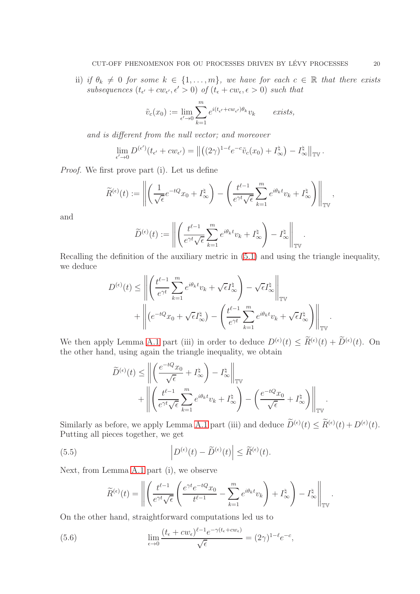ii) if  $\theta_k \neq 0$  for some  $k \in \{1, \ldots, m\}$ , we have for each  $c \in \mathbb{R}$  that there exists subsequences  $(t_{\epsilon'} + cw_{\epsilon'}, \epsilon' > 0)$  of  $(t_{\epsilon} + cw_{\epsilon}, \epsilon > 0)$  such that

$$
\tilde{v}_c(x_0) := \lim_{\epsilon' \to 0} \sum_{k=1}^m e^{i(t_{\epsilon'} + c w_{\epsilon'})\theta_k} v_k \quad \text{exists,}
$$

and is different from the null vector; and moreover

$$
\lim_{\epsilon' \to 0} D^{(\epsilon')} (t_{\epsilon'} + c w_{\epsilon'}) = ||((2\gamma)^{1-\ell} e^{-c} \tilde{v}_c(x_0) + I_{\infty}^{\natural}) - I_{\infty}^{\natural}||_{\mathbb{TV}}.
$$

Proof. We first prove part (i). Let us define

$$
\widetilde{R}^{(\epsilon)}(t) := \left\| \left( \frac{1}{\sqrt{\epsilon}} e^{-tQ} x_0 + I^{\natural}_{\infty} \right) - \left( \frac{t^{\ell-1}}{e^{\gamma t} \sqrt{\epsilon}} \sum_{k=1}^{m} e^{i\theta_k t} v_k + I^{\natural}_{\infty} \right) \right\|_{\mathbb{TV}},
$$

and

$$
\widetilde{D}^{(\epsilon)}(t) := \left\| \left( \frac{t^{\ell-1}}{e^{\gamma t} \sqrt{\epsilon}} \sum_{k=1}^m e^{i\theta_k t} v_k + I_{\infty}^{\natural} \right) - I_{\infty}^{\natural} \right\|_{\mathbb{T}^{\mathbb{V}}}.
$$

Recalling the definition of the auxiliary metric in [\(5.1\)](#page-17-1) and using the triangle inequality, we deduce

$$
D^{(\epsilon)}(t) \le \left\| \left( \frac{t^{\ell-1}}{e^{\gamma t}} \sum_{k=1}^{m} e^{i\theta_k t} v_k + \sqrt{\epsilon} I_{\infty}^{\sharp} \right) - \sqrt{\epsilon} I_{\infty}^{\sharp} \right\|_{\mathbb{TV}}
$$

$$
+ \left\| \left( e^{-tQ} x_0 + \sqrt{\epsilon} I_{\infty}^{\sharp} \right) - \left( \frac{t^{\ell-1}}{e^{\gamma t}} \sum_{k=1}^{m} e^{i\theta_k t} v_k + \sqrt{\epsilon} I_{\infty}^{\sharp} \right) \right\|_{\mathbb{TV}}
$$

We then apply Lemma [A.1](#page-29-1) part (iii) in order to deduce  $D^{(\epsilon)}(t) \leq R^{(\epsilon)}(t) + D^{(\epsilon)}(t)$ . On the other hand, using again the triangle inequality, we obtain

$$
\widetilde{D}^{(\epsilon)}(t) \le \left\| \left( \frac{e^{-tQ}x_0}{\sqrt{\epsilon}} + I^{\natural}_{\infty} \right) - I^{\natural}_{\infty} \right\|_{\mathbb{TV}} + \left\| \left( \frac{t^{\ell-1}}{e^{\gamma t}\sqrt{\epsilon}} \sum_{k=1}^{m} e^{i\theta_k t} v_k + I^{\natural}_{\infty} \right) - \left( \frac{e^{-tQ}x_0}{\sqrt{\epsilon}} + I^{\natural}_{\infty} \right) \right\|_{\mathbb{TV}}.
$$

Similarly as before, we apply Lemma [A.1](#page-29-1) part (iii) and deduce  $D^{(\epsilon)}(t) \leq R^{(\epsilon)}(t) + D^{(\epsilon)}(t)$ . Putting all pieces together, we get

(5.5) 
$$
\left| D^{(\epsilon)}(t) - \widetilde{D}^{(\epsilon)}(t) \right| \leq \widetilde{R}^{(\epsilon)}(t).
$$

Next, from Lemma [A.1](#page-29-1) part (i), we observe

<span id="page-19-1"></span><span id="page-19-0"></span>
$$
\widetilde{R}^{(\epsilon)}(t) = \left\| \left( \frac{t^{\ell-1}}{e^{\gamma t} \sqrt{\epsilon}} \left( \frac{e^{\gamma t} e^{-tQ} x_0}{t^{\ell-1}} - \sum_{k=1}^m e^{i\theta_k t} v_k \right) + I_{\infty}^{\natural} \right) - I_{\infty}^{\natural} \right\|_{\mathbb{T}^{\mathbb{V}}}.
$$

On the other hand, straightforward computations led us to

(5.6) 
$$
\lim_{\epsilon \to 0} \frac{(t_{\epsilon} + cw_{\epsilon})^{\ell-1} e^{-\gamma (t_{\epsilon} + cw_{\epsilon})}}{\sqrt{\epsilon}} = (2\gamma)^{1-\ell} e^{-c},
$$

.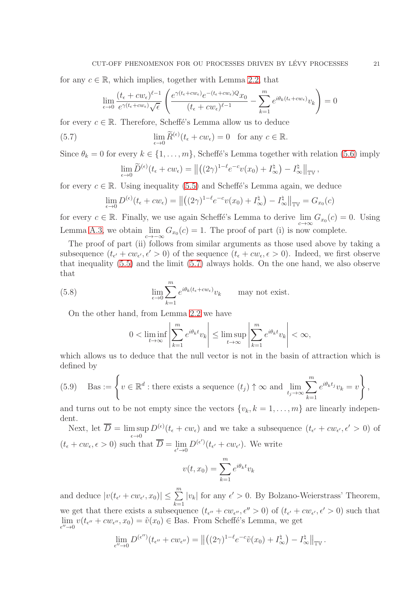for any  $c \in \mathbb{R}$ , which implies, together with Lemma [2.2,](#page-8-0) that

$$
\lim_{\epsilon \to 0} \frac{(t_{\epsilon} + cw_{\epsilon})^{\ell-1}}{e^{\gamma(t_{\epsilon} + cw_{\epsilon})}\sqrt{\epsilon}} \left( \frac{e^{\gamma(t_{\epsilon} + cw_{\epsilon})}e^{-(t_{\epsilon} + cw_{\epsilon})Q}x_0}{(t_{\epsilon} + cw_{\epsilon})^{\ell-1}} - \sum_{k=1}^{m} e^{i\theta_k(t_{\epsilon} + cw_{\epsilon})}v_k \right) = 0
$$

for every  $c \in \mathbb{R}$ . Therefore, Scheffé's Lemma allow us to deduce

(5.7) 
$$
\lim_{\epsilon \to 0} \widetilde{R}^{(\epsilon)}(t_{\epsilon} + cw_{\epsilon}) = 0 \text{ for any } c \in \mathbb{R}.
$$

Since  $\theta_k = 0$  for every  $k \in \{1, \ldots, m\}$ , Scheffé's Lemma together with relation [\(5.6\)](#page-19-0) imply

<span id="page-20-0"></span>
$$
\lim_{\epsilon \to 0} \widetilde{D}^{(\epsilon)}(t_{\epsilon} + cw_{\epsilon}) = ||((2\gamma)^{1-\ell}e^{-c}v(x_0) + I_{\infty}^{\natural}) - I_{\infty}^{\natural}||_{\mathbb{TV}},
$$

for every  $c \in \mathbb{R}$ . Using inequality [\(5.5\)](#page-19-1) and Scheffé's Lemma again, we deduce

$$
\lim_{\epsilon \to 0} D^{(\epsilon)}(t_{\epsilon} + cw_{\epsilon}) = ||((2\gamma)^{1-\ell}e^{-c}v(x_0) + I_{\infty}^{\natural}) - I_{\infty}^{\natural}||_{\mathbb{TV}} = G_{x_0}(c)
$$

for every  $c \in \mathbb{R}$ . Finally, we use again Scheffé's Lemma to derive  $\lim_{c \to \infty} G_{x_0}(c) = 0$ . Using Lemma [A.3,](#page-29-2) we obtain  $\lim_{c\to -\infty} G_{x_0}(c) = 1$ . The proof of part (i) is now complete.

The proof of part (ii) follows from similar arguments as those used above by taking a subsequence  $(t_{\epsilon'} + cw_{\epsilon'}, \epsilon' > 0)$  of the sequence  $(t_{\epsilon} + cw_{\epsilon}, \epsilon > 0)$ . Indeed, we first observe that inequality [\(5.5\)](#page-19-1) and the limit [\(5.7\)](#page-20-0) always holds. On the one hand, we also observe that

(5.8) 
$$
\lim_{\epsilon \to 0} \sum_{k=1}^{m} e^{i\theta_k (t_{\epsilon} + cw_{\epsilon})} v_k \quad \text{may not exist.}
$$

On the other hand, from Lemma [2.2](#page-8-0) we have

<span id="page-20-1"></span>
$$
0 < \liminf_{t \to \infty} \left| \sum_{k=1}^m e^{i\theta_k t} v_k \right| \le \limsup_{t \to \infty} \left| \sum_{k=1}^m e^{i\theta_k t} v_k \right| < \infty,
$$

which allows us to deduce that the null vector is not in the basin of attraction which is defined by

<span id="page-20-2"></span>(5.9) Bas := 
$$
\left\{ v \in \mathbb{R}^d : \text{there exists a sequence } (t_j) \uparrow \infty \text{ and } \lim_{t_j \to \infty} \sum_{k=1}^m e^{i\theta_k t_j} v_k = v \right\},
$$

and turns out to be not empty since the vectors  $\{v_k, k = 1, \ldots, m\}$  are linearly independent.

Next, let  $\overline{D} = \limsup D^{(\epsilon)}(t_{\epsilon} + cw_{\epsilon})$  and we take a subsequence  $(t_{\epsilon'} + cw_{\epsilon'}, \epsilon' > 0)$  of  $\epsilon \rightarrow 0$  $(t_{\epsilon} + cw_{\epsilon}, \epsilon > 0)$  such that  $D = \lim_{\epsilon' \to 0}$  $D^{(\epsilon')}(t_{\epsilon'}+cw_{\epsilon'})$ . We write

$$
v(t, x_0) = \sum_{k=1}^{m} e^{i\theta_k t} v_k
$$

and deduce  $|v(t_{\epsilon'}+cw_{\epsilon'},x_0)| \leq \sum_{k=1}^{m} |v_k|$  for any  $\epsilon' > 0$ . By Bolzano-Weierstrass' Theorem, we get that there exists a subsequence  $(t_{\epsilon''} + cw_{\epsilon''}, \epsilon'' > 0)$  of  $(t_{\epsilon'} + cw_{\epsilon'}, \epsilon' > 0)$  such that  $\lim_{\epsilon''\to 0}$  $v(t_{\epsilon''} + cw_{\epsilon''}, x_0) = \tilde{v}(x_0) \in \text{Bas. From Scheffé's Lemma, we get}$ 

$$
\lim_{\epsilon'' \to 0} D^{(\epsilon'')}(t_{\epsilon''} + cw_{\epsilon''}) = ||((2\gamma)^{1-\ell}e^{-c}\tilde{v}(x_0) + I_{\infty}^{\natural}) - I_{\infty}^{\natural}||_{\mathbb{TV}}.
$$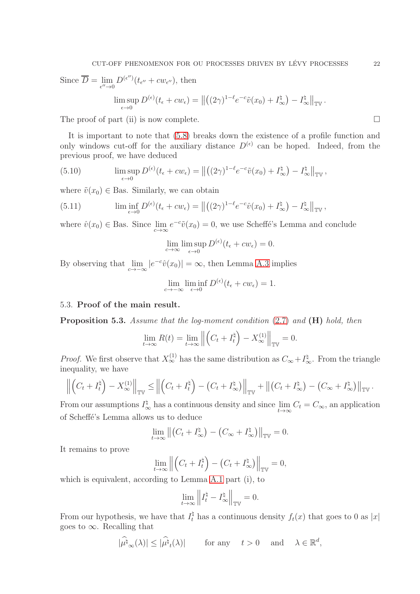Since  $D = \lim_{\epsilon'' \to 0}$  $D^{(\epsilon\prime\prime)}(t_{\epsilon\prime\prime}+cw_{\epsilon\prime\prime}),$  then

$$
\limsup_{\epsilon \to 0} D^{(\epsilon)}(t_{\epsilon} + cw_{\epsilon}) = ||((2\gamma)^{1-\ell}e^{-c}\tilde{v}(x_0) + I_{\infty}^{\natural}) - I_{\infty}^{\natural}||_{\mathbb{TV}}.
$$

The proof of part (ii) is now complete.  $\Box$ 

It is important to note that [\(5.8\)](#page-20-1) breaks down the existence of a profile function and only windows cut-off for the auxiliary distance  $D^{(\epsilon)}$  can be hoped. Indeed, from the previous proof, we have deduced

<span id="page-21-2"></span>(5.10) 
$$
\limsup_{\epsilon \to 0} D^{(\epsilon)}(t_{\epsilon} + cw_{\epsilon}) = ||((2\gamma)^{1-\ell}e^{-c}\tilde{v}(x_0) + I_{\infty}^{\natural}) - I_{\infty}^{\natural}||_{\mathbb{T}^{\mathbb{V}}},
$$

where  $\tilde{v}(x_0) \in$  Bas. Similarly, we can obtain

<span id="page-21-3"></span>(5.11) 
$$
\liminf_{\epsilon \to 0} D^{(\epsilon)}(t_{\epsilon} + cw_{\epsilon}) = ||((2\gamma)^{1-\ell}e^{-c}\hat{v}(x_0) + I_{\infty}^{\sharp}) - I_{\infty}^{\sharp}||_{\mathbb{TV}},
$$

where  $\hat{v}(x_0) \in$  Bas. Since  $\lim_{c \to \infty} e^{-c} \tilde{v}(x_0) = 0$ , we use Scheffé's Lemma and conclude

$$
\lim_{\epsilon \to \infty} \limsup_{\epsilon \to 0} D^{(\epsilon)}(t_{\epsilon} + cw_{\epsilon}) = 0.
$$

By observing that  $\lim_{c \to -\infty} |e^{-c}\hat{v}(x_0)| = \infty$ , then Lemma [A.3](#page-29-2) implies

$$
\lim_{c \to -\infty} \liminf_{\epsilon \to 0} D^{(\epsilon)}(t_{\epsilon} + cw_{\epsilon}) = 1.
$$

# <span id="page-21-0"></span>5.3. Proof of the main result.

<span id="page-21-1"></span>**Proposition 5.3.** Assume that the log-moment condition  $(2.7)$  and  $(H)$  hold, then

$$
\lim_{t \to \infty} R(t) = \lim_{t \to \infty} \left\| \left( C_t + I_t^{\natural} \right) - X_{\infty}^{(1)} \right\|_{\mathbb{TV}} = 0.
$$

*Proof.* We first observe that  $X_{\infty}^{(1)}$  has the same distribution as  $C_{\infty} + I_{\infty}^{\natural}$ . From the triangle inequality, we have

$$
\left\| \left( C_t + I_t^{\natural} \right) - X_{\infty}^{(1)} \right\|_{\mathbb{TV}} \le \left\| \left( C_t + I_t^{\natural} \right) - \left( C_t + I_{\infty}^{\natural} \right) \right\|_{\mathbb{TV}} + \left\| \left( C_t + I_{\infty}^{\natural} \right) - \left( C_{\infty} + I_{\infty}^{\natural} \right) \right\|_{\mathbb{TV}}.
$$

From our assumptions  $I^{\natural}_{\infty}$  has a continuous density and since  $\lim_{t\to\infty} C_t = C_{\infty}$ , an application of Scheffé's Lemma allows us to deduce

$$
\lim_{t \to \infty} \left\| \left( C_t + I_{\infty}^{\natural} \right) - \left( C_{\infty} + I_{\infty}^{\natural} \right) \right\|_{\mathbb{TV}} = 0.
$$

It remains to prove

$$
\lim_{t \to \infty} \left\| \left( C_t + I_t^{\natural} \right) - \left( C_t + I_{\infty}^{\natural} \right) \right\|_{\mathbb{TV}} = 0,
$$

which is equivalent, according to Lemma [A.1](#page-29-1) part (i), to

$$
\lim_{t\to\infty}\left\|I_t^\natural-I_\infty^\natural\right\|_{{\mathbb T}^\mathbb V}=0.
$$

From our hypothesis, we have that  $I_t^{\dagger}$  has a continuous density  $f_t(x)$  that goes to 0 as |x| goes to  $\infty$ . Recalling that

$$
|\widehat{\mu^{\natural}}_{\infty}(\lambda)| \leq |\widehat{\mu^{\natural}}_{t}(\lambda)| \quad \text{for any} \quad t > 0 \quad \text{and} \quad \lambda \in \mathbb{R}^{d},
$$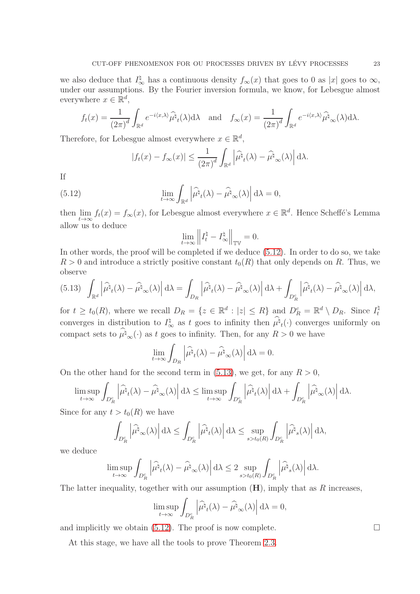we also deduce that  $I^{\natural}_{\infty}$  has a continuous density  $f_{\infty}(x)$  that goes to 0 as |x| goes to  $\infty$ , under our assumptions. By the Fourier inversion formula, we know, for Lebesgue almost everywhere  $x \in \mathbb{R}^d$ ,

$$
f_t(x) = \frac{1}{(2\pi)^d} \int_{\mathbb{R}^d} e^{-i\langle x, \lambda \rangle} \widehat{\mu^{\natural}}_t(\lambda) d\lambda \quad \text{and} \quad f_{\infty}(x) = \frac{1}{(2\pi)^d} \int_{\mathbb{R}^d} e^{-i\langle x, \lambda \rangle} \widehat{\mu^{\natural}}_{\infty}(\lambda) d\lambda.
$$

Therefore, for Lebesgue almost everywhere  $x \in \mathbb{R}^d$ ,

$$
|f_t(x) - f_{\infty}(x)| \le \frac{1}{(2\pi)^d} \int_{\mathbb{R}^d} \left| \widehat{\mu^{\natural}}_t(\lambda) - \widehat{\mu^{\natural}}_{\infty}(\lambda) \right| d\lambda.
$$

If

(5.12) 
$$
\lim_{t \to \infty} \int_{\mathbb{R}^d} \left| \widehat{\mu^{\natural}}_t(\lambda) - \widehat{\mu^{\natural}}_{\infty}(\lambda) \right| d\lambda = 0,
$$

then lim  $\lim_{t\to\infty} f_t(x) = f_\infty(x)$ , for Lebesgue almost everywhere  $x \in \mathbb{R}^d$ . Hence Scheffé's Lemma allow us to deduce

<span id="page-22-0"></span>
$$
\lim_{t\to\infty}\left\|I^\natural_t-I^\natural_\infty\right\|_{{\mathbb T}^\mathbb V}=0.
$$

In other words, the proof will be completed if we deduce [\(5.12\)](#page-22-0). In order to do so, we take  $R > 0$  and introduce a strictly positive constant  $t_0(R)$  that only depends on R. Thus, we observe

<span id="page-22-1"></span>
$$
(5.13)\ \ \int_{\mathbb{R}^d} \left| \widehat{\mu^{\natural}}_t(\lambda) - \widehat{\mu^{\natural}}_{\infty}(\lambda) \right| \mathrm{d}\lambda = \int_{D_R} \left| \widehat{\mu^{\natural}}_t(\lambda) - \widehat{\mu^{\natural}}_{\infty}(\lambda) \right| \mathrm{d}\lambda + \int_{D_R^c} \left| \widehat{\mu^{\natural}}_t(\lambda) - \widehat{\mu^{\natural}}_{\infty}(\lambda) \right| \mathrm{d}\lambda,
$$

for  $t \geq t_0(R)$ , where we recall  $D_R = \{z \in \mathbb{R}^d : |z| \leq R\}$  and  $D_R^c = \mathbb{R}^d \setminus D_R$ . Since  $I_t^{\dagger}$ t converges in distribution to  $I^{\natural}_{\infty}$  as t goes to infinity then  $\mu^{\natural}{}_{t}(\cdot)$  converges uniformly on compact sets to  $\hat{\mu}_{\infty}^{\dagger}(\cdot)$  as t goes to infinity. Then, for any  $R > 0$  we have

$$
\lim_{t \to \infty} \int_{D_R} \left| \widehat{\mu^{\natural}}_t(\lambda) - \widehat{\mu^{\natural}}_{\infty}(\lambda) \right| d\lambda = 0.
$$

On the other hand for the second term in [\(5.13\)](#page-22-1), we get, for any  $R > 0$ ,

$$
\limsup_{t\to\infty}\int_{D_R^c}\left|\widehat{\mu^\natural}_t(\lambda)-\widehat{\mu^\natural}_\infty(\lambda)\right|\mathrm{d}\lambda\leq \limsup_{t\to\infty}\int_{D_R^c}\left|\widehat{\mu^\natural}_t(\lambda)\right|\mathrm{d}\lambda+\int_{D_R^c}\left|\widehat{\mu^\natural}_\infty(\lambda)\right|\mathrm{d}\lambda.
$$

Since for any  $t > t_0(R)$  we have

$$
\int_{D_R^c} \left| \widehat{\mu^{\natural}}_{\infty}(\lambda) \right| \mathrm{d}\lambda \le \int_{D_R^c} \left| \widehat{\mu^{\natural}}_t(\lambda) \right| \mathrm{d}\lambda \le \sup_{s > t_0(R)} \int_{D_R^c} \left| \widehat{\mu^{\natural}}_s(\lambda) \right| \mathrm{d}\lambda,
$$

we deduce

$$
\limsup_{t\to\infty}\int_{D_R^c}\left|\widehat{\mu^{\natural}}_t(\lambda)-\widehat{\mu^{\natural}}_{\infty}(\lambda)\right|\mathrm{d}\lambda\leq 2\sup_{s>t_0(R)}\int_{D_R^c}\left|\widehat{\mu^{\natural}}_s(\lambda)\right|\mathrm{d}\lambda.
$$

The latter inequality, together with our assumption  $(H)$ , imply that as R increases,

$$
\limsup_{t \to \infty} \int_{D_R^c} \left| \widehat{\mu^{\natural}}_t(\lambda) - \widehat{\mu^{\natural}}_{\infty}(\lambda) \right| d\lambda = 0,
$$

and implicitly we obtain [\(5.12\)](#page-22-0). The proof is now complete.  $\Box$ 

At this stage, we have all the tools to prove Theorem [2.3.](#page-8-1)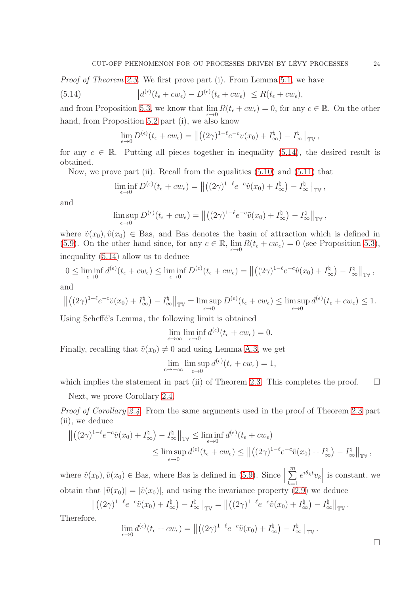Proof of Theorem [2.3.](#page-8-1) We first prove part (i). From Lemma [5.1,](#page-17-4) we have

<span id="page-23-0"></span>(5.14) 
$$
\left|d^{(\epsilon)}(t_{\epsilon}+cw_{\epsilon})-D^{(\epsilon)}(t_{\epsilon}+cw_{\epsilon})\right| \leq R(t_{\epsilon}+cw_{\epsilon}),
$$

and from Proposition [5.3,](#page-21-1) we know that  $\lim_{\epsilon \to 0} R(t_{\epsilon} + cw_{\epsilon}) = 0$ , for any  $c \in \mathbb{R}$ . On the other hand, from Proposition [5.2](#page-18-1) part (i), we also know

$$
\lim_{\epsilon \to 0} D^{(\epsilon)}(t_{\epsilon} + cw_{\epsilon}) = ||((2\gamma)^{1-\ell}e^{-c}v(x_0) + I_{\infty}^{\natural}) - I_{\infty}^{\natural}||_{\mathbb{TV}},
$$

for any  $c \in \mathbb{R}$ . Putting all pieces together in inequality [\(5.14\)](#page-23-0), the desired result is obtained.

Now, we prove part (ii). Recall from the equalities  $(5.10)$  and  $(5.11)$  that

$$
\liminf_{\epsilon \to 0} D^{(\epsilon)}(t_{\epsilon} + cw_{\epsilon}) = ||((2\gamma)^{1-\ell}e^{-c}\hat{v}(x_0) + I_{\infty}^{\sharp}) - I_{\infty}^{\sharp}||_{\mathbb{TV}},
$$

and

$$
\limsup_{\epsilon \to 0} D^{(\epsilon)}(t_{\epsilon} + cw_{\epsilon}) = ||((2\gamma)^{1-\ell}e^{-c}\tilde{v}(x_0) + I_{\infty}^{\natural}) - I_{\infty}^{\natural}||_{\mathbb{TV}},
$$

where  $\tilde{v}(x_0), \hat{v}(x_0) \in$  Bas, and Bas denotes the basin of attraction which is defined in [\(5.9\)](#page-20-2). On the other hand since, for any  $c \in \mathbb{R}$ ,  $\lim_{\epsilon \to 0} R(t_{\epsilon} + cw_{\epsilon}) = 0$  (see Proposition [5.3\)](#page-21-1), inequality [\(5.14\)](#page-23-0) allow us to deduce

$$
0 \leq \liminf_{\epsilon \to 0} d^{(\epsilon)}(t_{\epsilon} + cw_{\epsilon}) \leq \liminf_{\epsilon \to 0} D^{(\epsilon)}(t_{\epsilon} + cw_{\epsilon}) = ||((2\gamma)^{1-\ell}e^{-c}\hat{v}(x_0) + I_{\infty}^{\natural}) - I_{\infty}^{\natural}||_{\mathbb{TV}},
$$

and

$$
\left\| \left( (2\gamma)^{1-\ell} e^{-c} \tilde{v}(x_0) + I^{\natural}_{\infty} \right) - I^{\natural}_{\infty} \right\|_{\mathbb{TV}} = \limsup_{\epsilon \to 0} D^{(\epsilon)}(t_{\epsilon} + c w_{\epsilon}) \le \limsup_{\epsilon \to 0} d^{(\epsilon)}(t_{\epsilon} + c w_{\epsilon}) \le 1.
$$

Using Scheffé's Lemma, the following limit is obtained

$$
\lim_{\epsilon \to \infty} \liminf_{\epsilon \to 0} d^{(\epsilon)}(t_{\epsilon} + cw_{\epsilon}) = 0.
$$

Finally, recalling that  $\tilde{v}(x_0) \neq 0$  and using Lemma [A.3,](#page-29-2) we get

$$
\lim_{c \to -\infty} \limsup_{\epsilon \to 0} d^{(\epsilon)}(t_{\epsilon} + cw_{\epsilon}) = 1,
$$

which implies the statement in part (ii) of Theorem [2.3.](#page-8-1) This completes the proof.  $\square$ 

Next, we prove Corollary [2.4.](#page-9-1)

Proof of Corollary [2.4.](#page-9-1) From the same arguments used in the proof of Theorem [2.3](#page-8-1) part (ii), we deduce

$$
\begin{split} \left\| \left( (2\gamma)^{1-\ell} e^{-c} \hat{v}(x_0) + I^{\natural}_{\infty} \right) - I^{\natural}_{\infty} \right\|_{\mathbb{TV}} &\leq \liminf_{\epsilon \to 0} d^{(\epsilon)}(t_{\epsilon} + c w_{\epsilon}) \\ &\leq \limsup_{\epsilon \to 0} d^{(\epsilon)}(t_{\epsilon} + c w_{\epsilon}) \leq \left\| \left( (2\gamma)^{1-\ell} e^{-c} \tilde{v}(x_0) + I^{\natural}_{\infty} \right) - I^{\natural}_{\infty} \right\|_{\mathbb{TV}}, \end{split}
$$

where  $\tilde{v}(x_0), \hat{v}(x_0) \in$  Bas, where Bas is defined in [\(5.9\)](#page-20-2). Since  $\sum_{n=1}^{\infty}$  $k=1$  $e^{i\theta_k t}v_k$  is constant, we obtain that  $|\tilde{v}(x_0)| = |\hat{v}(x_0)|$ , and using the invariance property [\(2.9\)](#page-9-0) we deduce

$$
\left\| \left( (2\gamma)^{1-\ell} e^{-c} \tilde{v}(x_0) + I_\infty^{\natural} \right) - I_\infty^{\natural} \right\|_{\mathbb{TV}} = \left\| \left( (2\gamma)^{1-\ell} e^{-c} \hat{v}(x_0) + I_\infty^{\natural} \right) - I_\infty^{\natural} \right\|_{\mathbb{TV}}.
$$

Therefore,

$$
\lim_{\epsilon \to 0} d^{(\epsilon)}(t_{\epsilon} + cw_{\epsilon}) = ||((2\gamma)^{1-\ell}e^{-c}\tilde{v}(x_0) + I_{\infty}^{\natural}) - I_{\infty}^{\natural}||_{\mathbb{TV}}.
$$

 $\Box$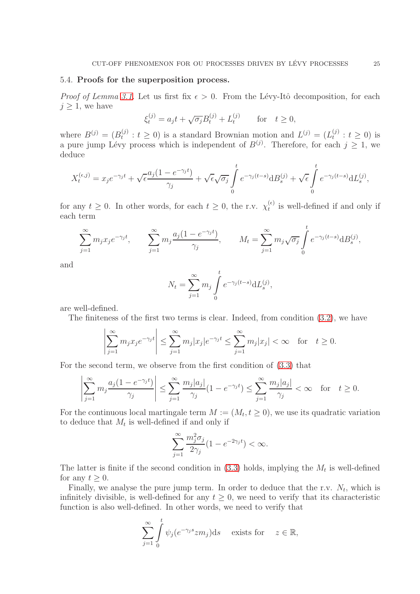#### 5.4. Proofs for the superposition process.

*Proof of Lemma [3.1.](#page-11-6)* Let us first fix  $\epsilon > 0$ . From the Lévy-Itô decomposition, for each  $j \geq 1$ , we have

$$
\xi_t^{(j)} = a_j t + \sqrt{\sigma_j} B_t^{(j)} + L_t^{(j)}
$$
 for  $t \ge 0$ ,

where  $B^{(j)} = (B_t^{(j)})$  $t(t)$  :  $t \geq 0$ ) is a standard Brownian motion and  $L^{(j)} = (L_t^{(j)})$  $t_{t}^{(j)}$  :  $t \geq 0$ ) is a pure jump Lévy process which is independent of  $B^{(j)}$ . Therefore, for each  $j \geq 1$ , we deduce

$$
X_t^{(\epsilon,j)} = x_j e^{-\gamma_j t} + \sqrt{\epsilon} \frac{a_j (1 - e^{-\gamma_j t})}{\gamma_j} + \sqrt{\epsilon} \sqrt{\sigma_j} \int_0^t e^{-\gamma_j (t-s)} d B_s^{(j)} + \sqrt{\epsilon} \int_0^t e^{-\gamma_j (t-s)} d L_s^{(j)},
$$

for any  $t \geq 0$ . In other words, for each  $t \geq 0$ , the r.v.  $\chi_t^{(\epsilon)}$  $t_t^{(e)}$  is well-defined if and only if each term

$$
\sum_{j=1}^{\infty} m_j x_j e^{-\gamma_j t}, \qquad \sum_{j=1}^{\infty} m_j \frac{a_j (1 - e^{-\gamma_j t})}{\gamma_j}, \qquad M_t = \sum_{j=1}^{\infty} m_j \sqrt{\sigma_j} \int_0^t e^{-\gamma_j (t-s)} d B_s^{(j)},
$$

and

$$
N_t = \sum_{j=1}^{\infty} m_j \int_0^t e^{-\gamma_j(t-s)} dL_s^{(j)},
$$

are well-defined.

The finiteness of the first two terms is clear. Indeed, from condition [\(3.2\)](#page-11-1), we have

$$
\left|\sum_{j=1}^{\infty} m_j x_j e^{-\gamma_j t}\right| \leq \sum_{j=1}^{\infty} m_j |x_j| e^{-\gamma_j t} \leq \sum_{j=1}^{\infty} m_j |x_j| < \infty \quad \text{for} \quad t \geq 0.
$$

For the second term, we observe from the first condition of [\(3.3\)](#page-11-2) that

$$
\left|\sum_{j=1}^\infty m_j\frac{a_j(1-e^{-\gamma_jt})}{\gamma_j}\right|\leq \sum_{j=1}^\infty\frac{m_j|a_j|}{\gamma_j}(1-e^{-\gamma_jt})\leq \sum_{j=1}^\infty\frac{m_j|a_j|}{\gamma_j}<\infty\quad\text{for}\quad t\geq 0.
$$

For the continuous local martingale term  $M := (M_t, t \ge 0)$ , we use its quadratic variation to deduce that  $M_t$  is well-defined if and only if

$$
\sum_{j=1}^{\infty} \frac{m_j^2 \sigma_j}{2\gamma_j} (1 - e^{-2\gamma_j t}) < \infty.
$$

The latter is finite if the second condition in  $(3.3)$  holds, implying the  $M_t$  is well-defined for any  $t \geq 0$ .

Finally, we analyse the pure jump term. In order to deduce that the r.v.  $N_t$ , which is infinitely divisible, is well-defined for any  $t \geq 0$ , we need to verify that its characteristic function is also well-defined. In other words, we need to verify that

$$
\sum_{j=1}^{\infty} \int_{0}^{t} \psi_j(e^{-\gamma_j s} z m_j) \mathrm{d} s \quad \text{ exists for} \quad z \in \mathbb{R},
$$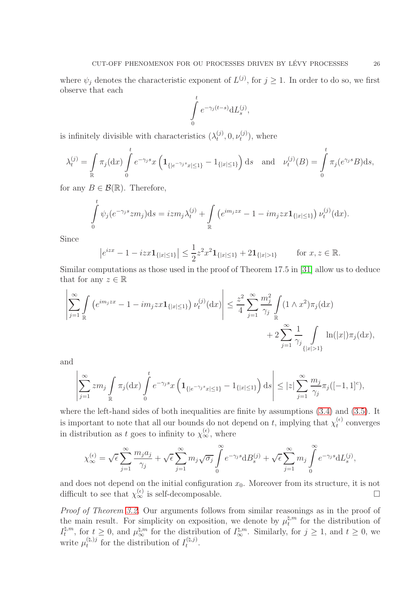where  $\psi_j$  denotes the characteristic exponent of  $L^{(j)}$ , for  $j \ge 1$ . In order to do so, we first observe that each

$$
\int\limits_0^t e^{-\gamma_j(t-s)} dL_s^{(j)},
$$

is infinitely divisible with characteristics  $(\lambda_t^{(j)})$  $t^{(j)}, 0, \nu_t^{(j)}$  $t^{(J)}_t$ , where

$$
\lambda_t^{(j)} = \int_{\mathbb{R}} \pi_j(\mathrm{d}x) \int_0^t e^{-\gamma_j s} x \left( \mathbf{1}_{\{|e^{-\gamma_j s} x| \le 1\}} - \mathbf{1}_{\{|x| \le 1\}} \right) \mathrm{d}s \quad \text{and} \quad \nu_t^{(j)}(B) = \int_0^t \pi_j(e^{\gamma_j s} B) \mathrm{d}s,
$$

for any  $B \in \mathcal{B}(\mathbb{R})$ . Therefore,

$$
\int_{0}^{t} \psi_j(e^{-\gamma_j s} z m_j) \mathrm{d} s = i z m_j \lambda_t^{(j)} + \int_{\mathbb{R}} \left( e^{i m_j z x} - 1 - i m_j z x \mathbf{1}_{\{|x| \le 1\}} \right) \nu_t^{(j)}(\mathrm{d} x).
$$

Since

$$
|e^{izx} - 1 - izx \mathbf{1}_{\{|x| \le 1\}}| \le \frac{1}{2} z^2 x^2 \mathbf{1}_{\{|x| \le 1\}} + 2 \mathbf{1}_{\{|x| > 1\}}
$$
 for  $x, z \in \mathbb{R}$ .

Similar computations as those used in the proof of Theorem 17.5 in [\[31\]](#page-33-5) allow us to deduce that for any  $z \in \mathbb{R}$ 

$$
\left|\sum_{j=1}^{\infty} \int_{\mathbb{R}} \left( e^{im_j x x} - 1 - im_j x x \mathbf{1}_{\{|x| \le 1\}} \right) \nu_t^{(j)}(\mathrm{d}x) \right| \le \frac{z^2}{4} \sum_{j=1}^{\infty} \frac{m_j^2}{\gamma_j} \int_{\mathbb{R}} (1 \wedge x^2) \pi_j(\mathrm{d}x) + 2 \sum_{j=1}^{\infty} \frac{1}{\gamma_j} \int_{\{|x| > 1\}} \ln(|x|) \pi_j(\mathrm{d}x),
$$

and

$$
\left|\sum_{j=1}^\infty zm_j\int\limits_{\mathbb R}\pi_j(\mathrm{d} x)\int\limits_0^t e^{-\gamma_js}x\left(\mathbf{1}_{\{|e^{-\gamma_js}x|\leq 1\}}-\mathbf{1}_{\{|x|\leq 1\}}\right)\mathrm{d} s\right|\leq |z|\sum_{j=1}^\infty\frac{m_j}{\gamma_j}\pi_j([-1,1]^c),
$$

where the left-hand sides of both inequalities are finite by assumptions [\(3.4\)](#page-11-3) and [\(3.5\)](#page-11-4). It is important to note that all our bounds do not depend on t, implying that  $\chi_t^{(\epsilon)}$  $t^{(\epsilon)}$  converges in distribution as t goes to infinity to  $\chi_{\infty}^{(\epsilon)}$ , where

$$
\chi_{\infty}^{(\epsilon)} = \sqrt{\epsilon} \sum_{j=1}^{\infty} \frac{m_j a_j}{\gamma_j} + \sqrt{\epsilon} \sum_{j=1}^{\infty} m_j \sqrt{\sigma_j} \int_{0}^{\infty} e^{-\gamma_j s} d B_s^{(j)} + \sqrt{\epsilon} \sum_{j=1}^{\infty} m_j \int_{0}^{\infty} e^{-\gamma_j s} d L_s^{(j)},
$$

and does not depend on the initial configuration  $x_0$ . Moreover from its structure, it is not difficult to see that  $\chi_{\infty}^{(\epsilon)}$  is self-decomposable.

Proof of Theorem [3.2.](#page-12-0) Our arguments follows from similar reasonings as in the proof of the main result. For simplicity on exposition, we denote by  $\mu_t^{\natural,m}$  $t_t^{m}$  for the distribution of  $I^{\natural,m}_t$  $\mu_t^{\sharp,m}$ , for  $t \geq 0$ , and  $\mu_{\infty}^{\sharp,m}$  for the distribution of  $I_{\infty}^{\sharp,m}$ . Similarly, for  $j \geq 1$ , and  $t \geq 0$ , we write  $\mu_t^{(\natural,j)}$  $t_t^{(\natural,j)}$  for the distribution of  $I_t^{(\natural,j)}$  $t^{(4, j)}$ .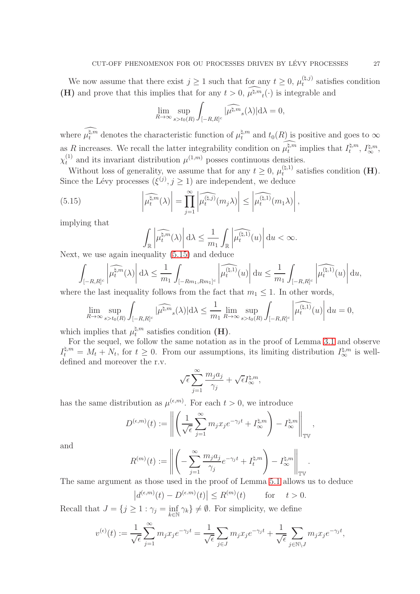We now assume that there exist  $j \geq 1$  such that for any  $t \geq 0$ ,  $\mu_t^{(\natural, j)}$  $t_t^{(4, j)}$  satisfies condition (**H**) and prove that this implies that for any  $t > 0$ ,  $\mu^{\sharp,m}$ <sub>t</sub>(·) is integrable and

$$
\lim_{R\to\infty}\sup_{s>t_0(R)}\int_{[-R,R]^c}|\widehat{\mu^{\natural,m}}_s(\lambda)|\mathrm{d}\lambda=0,
$$

where  $\mu_t^{\sharp,m}$  denotes the characteristic function of  $\mu_t^{\sharp,m}$  and  $t_0(R)$  is positive and goes to  $\infty$ as R increases. We recall the latter integrability condition on  $\mu_t^{\natural,m}$  implies that  $I_t^{\natural,m}$  $t^{\natural,m},\,I^{\natural,m}_\infty,$  $\chi_t^{(1)}$  and its invariant distribution  $\mu^{(1,m)}$  posses continuous densities.

Without loss of generality, we assume that for any  $t \geq 0$ ,  $\mu_t^{(\natural,1)}$  $t_t^{(4,1)}$  satisfies condition  $(H)$ . Since the Lévy processes  $(\xi^{(j)}, j \ge 1)$  are independent, we deduce

(5.15) 
$$
\left|\widehat{\mu_t^{\mathfrak{f},m}}(\lambda)\right| = \prod_{j=1}^{\infty} \left|\widehat{\mu_t^{(\mathfrak{f},j)}}(m_j\lambda)\right| \leq \left|\widehat{\mu_t^{(\mathfrak{f},1)}}(m_1\lambda)\right|,
$$

implying that

<span id="page-26-0"></span>
$$
\int_{\mathbb{R}} \left| \widehat{\mu_t^{\mathfrak{f},m}}(\lambda) \right| d\lambda \leq \frac{1}{m_1} \int_{\mathbb{R}} \left| \widehat{\mu_t^{\mathfrak{f},1}}(u) \right| du < \infty.
$$

Next, we use again inequality [\(5.15\)](#page-26-0) and deduce

$$
\int_{[-R,R]^c} \left| \widehat{\mu^{[1,m}_t}(\lambda) \right| \mathrm{d} \lambda \leq \frac{1}{m_1} \int_{[-Rm_1,Rm_1]^{c}} \left| \widehat{\mu^{[1,1)}_t}(u) \right| \mathrm{d} u \leq \frac{1}{m_1} \int_{[-R,R]^c} \left| \widehat{\mu^{[1,1)}_t}(u) \right| \mathrm{d} u,
$$

where the last inequality follows from the fact that  $m_1 \leq 1$ . In other words,

$$
\lim_{R\to\infty}\sup_{s>t_0(R)}\int_{[-R,R]^c}|\widehat{\mu^{\natural,m}}_s(\lambda)|\mathrm{d}\lambda\leq \frac{1}{m_1}\lim_{R\to\infty}\sup_{s>t_0(R)}\int_{[-R,R]^c}\left|\widehat{\mu^{\natural,1)}_t}(u)\right|\mathrm{d} u=0,
$$

which implies that  $\mu_t^{\natural,m}$  $t_t^{q,m}$  satisfies condition  $(H)$ .

For the sequel, we follow the same notation as in the proof of Lemma [3.1](#page-11-6) and observe  $I_t^{\sharp,m} = M_t + N_t$ , for  $t \geq 0$ . From our assumptions, its limiting distribution  $I_{\infty}^{\sharp,m}$  is welldefined and moreover the r.v.

$$
\sqrt{\epsilon}\sum_{j=1}^\infty \frac{m_j a_j}{\gamma_j} + \sqrt{\epsilon} I_\infty^{\natural,m},
$$

has the same distribution as  $\mu^{(\epsilon,m)}$ . For each  $t > 0$ , we introduce

$$
D^{(\epsilon,m)}(t) := \left\| \left( \frac{1}{\sqrt{\epsilon}} \sum_{j=1}^{\infty} m_j x_j e^{-\gamma_j t} + I_{\infty}^{\natural,m} \right) - I_{\infty}^{\natural,m} \right\|_{\mathbb{TV}},
$$

and

$$
R^{(m)}(t) := \left\| \left( -\sum_{j=1}^{\infty} \frac{m_j a_j}{\gamma_j} e^{-\gamma_j t} + I_t^{\natural, m} \right) - I_{\infty}^{\natural, m} \right\|_{\mathbb{TV}}
$$

.

The same argument as those used in the proof of Lemma [5.1](#page-17-4) allows us to deduce

$$
\left|d^{(\epsilon,m)}(t) - D^{(\epsilon,m)}(t)\right| \le R^{(m)}(t) \quad \text{for} \quad t > 0.
$$

Recall that  $J = \{ j \geq 1 : \gamma_j = \inf_{k \in \mathbb{N}} \gamma_k \} \neq \emptyset$ . For simplicity, we define

$$
v^{(\epsilon)}(t) := \frac{1}{\sqrt{\epsilon}} \sum_{j=1}^{\infty} m_j x_j e^{-\gamma_j t} = \frac{1}{\sqrt{\epsilon}} \sum_{j \in J} m_j x_j e^{-\gamma_j t} + \frac{1}{\sqrt{\epsilon}} \sum_{j \in \mathbb{N} \setminus J} m_j x_j e^{-\gamma_j t},
$$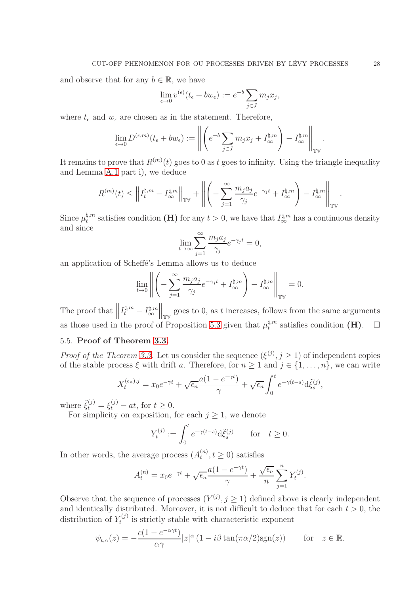and observe that for any  $b \in \mathbb{R}$ , we have

$$
\lim_{\epsilon \to 0} v^{(\epsilon)}(t_{\epsilon} + bw_{\epsilon}) := e^{-b} \sum_{j \in J} m_j x_j,
$$

where  $t_{\epsilon}$  and  $w_{\epsilon}$  are chosen as in the statement. Therefore,

$$
\lim_{\epsilon \to 0} D^{(\epsilon, m)}(t_{\epsilon} + bw_{\epsilon}) := \left\| \left( e^{-b} \sum_{j \in J} m_j x_j + I_{\infty}^{\natural, m} \right) - I_{\infty}^{\natural, m} \right\|_{\mathbb{TV}}
$$

It remains to prove that  $R^{(m)}(t)$  goes to 0 as t goes to infinity. Using the triangle inequality and Lemma [A.1](#page-29-1) part i), we deduce

$$
R^{(m)}(t) \leq \left\| I^{\natural,m}_t - I^{\natural,m}_\infty \right\|_{\mathbb{TV}} + \left\| \left( - \sum_{j=1}^\infty \frac{m_j a_j}{\gamma_j} e^{-\gamma_j t} + I^{\natural,m}_\infty \right) - I^{\natural,m}_\infty \right\|_{\mathbb{TV}}.
$$

Since  $\mu_t^{\natural,m}$  $t_t^{n,m}$  satisfies condition (**H**) for any  $t > 0$ , we have that  $I_{\infty}^{n,m}$  has a continuous density and since

$$
\lim_{t \to \infty} \sum_{j=1}^{\infty} \frac{m_j a_j}{\gamma_j} e^{-\gamma_j t} = 0,
$$

an application of Scheffé's Lemma allows us to deduce

$$
\lim_{t\to 0}\left\|\left(-\sum_{j=1}^\infty \frac{m_ja_j}{\gamma_j}e^{-\gamma_j t}+I_\infty^{\natural,m}\right)-I_\infty^{\natural,m}\right\|_{{\mathbb T}^\mathbb{V}}=0.
$$

The proof that  $\left\| I_t^{\natural,m} - I_{\infty}^{\natural,m} \right\|$ ∞  $\left\| \cdot \right\|_{\mathbb{TV}}$  goes to 0, as t increases, follows from the same arguments as those used in the proof of Proposition [5.3](#page-21-1) given that  $\mu_t^{\natural,m}$  $_{t}^{\natural,m}$  satisfies condition (**H**).  $\Box$ 

### 5.5. Proof of Theorem [3.3.](#page-13-0)

*Proof of the Theorem [3.3.](#page-13-0)* Let us consider the sequence  $(\xi^{(j)}, j \ge 1)$  of independent copies of the stable process  $\xi$  with drift a. Therefore, for  $n \geq 1$  and  $j \in \{1, \ldots, n\}$ , we can write

$$
X_t^{(\epsilon_n),j} = x_0 e^{-\gamma t} + \sqrt{\epsilon_n} \frac{a(1 - e^{-\gamma t})}{\gamma} + \sqrt{\epsilon_n} \int_0^t e^{-\gamma (t-s)} d\tilde{\xi}_s^{(j)},
$$

where  $\tilde{\xi}_t^{(j)} = \xi_t^{(j)} - at$ , for  $t \geq 0$ .

For simplicity on exposition, for each  $j \geq 1$ , we denote

$$
Y_t^{(j)} := \int_0^t e^{-\gamma(t-s)} \mathrm{d}\tilde{\xi}_s^{(j)} \quad \text{for} \quad t \ge 0.
$$

In other words, the average process  $(A_t^{(n)})$  $t^{(n)}$ ,  $t \geq 0$ ) satisfies

$$
A_t^{(n)} = x_0 e^{-\gamma t} + \sqrt{\epsilon_n} \frac{a(1 - e^{-\gamma t})}{\gamma} + \frac{\sqrt{\epsilon_n}}{n} \sum_{j=1}^n Y_t^{(j)}.
$$

Observe that the sequence of processes  $(Y^{(j)}, j \geq 1)$  defined above is clearly independent and identically distributed. Moreover, it is not difficult to deduce that for each  $t > 0$ , the distribution of  $Y_t^{(j)}$  $t_t^{(J)}$  is strictly stable with characteristic exponent

$$
\psi_{t,\alpha}(z) = -\frac{c(1 - e^{-\alpha \gamma t})}{\alpha \gamma} |z|^{\alpha} (1 - i\beta \tan(\pi \alpha/2) \operatorname{sgn}(z)) \quad \text{for} \quad z \in \mathbb{R}.
$$

.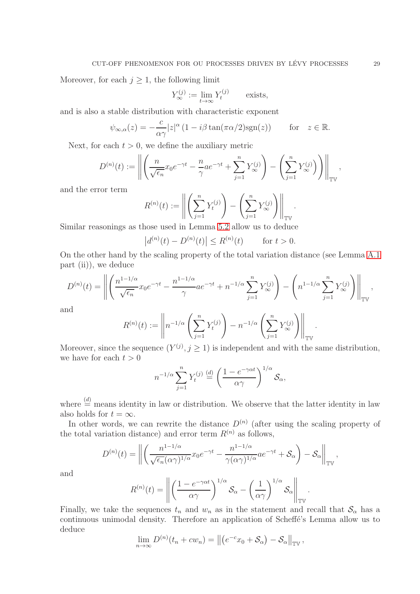Moreover, for each  $j \geq 1$ , the following limit

$$
Y_{\infty}^{(j)} := \lim_{t \to \infty} Y_t^{(j)} \qquad \text{exists,}
$$

and is also a stable distribution with characteristic exponent

$$
\psi_{\infty,\alpha}(z) = -\frac{c}{\alpha\gamma}|z|^{\alpha} (1 - i\beta \tan(\pi\alpha/2)\text{sgn}(z)) \quad \text{for} \quad z \in \mathbb{R}.
$$

Next, for each  $t > 0$ , we define the auxiliary metric

$$
D^{(n)}(t) := \left\| \left( \frac{n}{\sqrt{\epsilon_n}} x_0 e^{-\gamma t} - \frac{n}{\gamma} a e^{-\gamma t} + \sum_{j=1}^n Y_{\infty}^{(j)} \right) - \left( \sum_{j=1}^n Y_{\infty}^{(j)} \right) \right\|_{\mathbb{TV}}
$$

and the error term

$$
R^{(n)}(t) := \left\| \left( \sum_{j=1}^{n} Y_t^{(j)} \right) - \left( \sum_{j=1}^{n} Y_{\infty}^{(j)} \right) \right\|_{\mathbb{TV}}.
$$
  
2000 used in Lemma 5.2 allow us to deduce

!

Similar reasonings as those used in Lemma [5.2](#page-17-2) allow us to deduce

$$
|d^{(n)}(t) - D^{(n)}(t)| \le R^{(n)}(t)
$$
 for  $t > 0$ .

On the other hand by the scaling property of the total variation distance (see Lemma [A.1](#page-29-1) part (ii)), we deduce

$$
D^{(n)}(t) = \left\| \left( \frac{n^{1-1/\alpha}}{\sqrt{\epsilon_n}} x_0 e^{-\gamma t} - \frac{n^{1-1/\alpha}}{\gamma} a e^{-\gamma t} + n^{-1/\alpha} \sum_{j=1}^n Y_{\infty}^{(j)} \right) - \left( n^{1-1/\alpha} \sum_{j=1}^n Y_{\infty}^{(j)} \right) \right\|_{\mathbb{TV}},
$$

and

$$
R^{(n)}(t) := \left\| n^{-1/\alpha} \left( \sum_{j=1}^n Y_t^{(j)} \right) - n^{-1/\alpha} \left( \sum_{j=1}^n Y_\infty^{(j)} \right) \right\|_{\mathbb{TV}}
$$

Moreover, since the sequence  $(Y^{(j)}, j \ge 1)$  is independent and with the same distribution, we have for each  $t > 0$ 

$$
n^{-1/\alpha} \sum_{j=1}^{n} Y_t^{(j)} \stackrel{(d)}{=} \left(\frac{1 - e^{-\gamma \alpha t}}{\alpha \gamma}\right)^{1/\alpha} \mathcal{S}_{\alpha},
$$

where  $\stackrel{(d)}{=}$  means identity in law or distribution. We observe that the latter identity in law also holds for  $t = \infty$ .

In other words, we can rewrite the distance  $D^{(n)}$  (after using the scaling property of the total variation distance) and error term  $R^{(n)}$  as follows,

$$
D^{(n)}(t) = \left\| \left( \frac{n^{1-1/\alpha}}{\sqrt{\epsilon_n} (\alpha \gamma)^{1/\alpha}} x_0 e^{-\gamma t} - \frac{n^{1-1/\alpha}}{\gamma (\alpha \gamma)^{1/\alpha}} a e^{-\gamma t} + \mathcal{S}_{\alpha} \right) - \mathcal{S}_{\alpha} \right\|_{\mathbb{T}^{\mathbb{V}}},
$$

and

$$
R^{(n)}(t) = \left\| \left( \frac{1 - e^{-\gamma \alpha t}}{\alpha \gamma} \right)^{1/\alpha} \mathcal{S}_{\alpha} - \left( \frac{1}{\alpha \gamma} \right)^{1/\alpha} \mathcal{S}_{\alpha} \right\|_{\mathbb{T}^{\mathbb{V}}}
$$

Finally, we take the sequences  $t_n$  and  $w_n$  as in the statement and recall that  $S_\alpha$  has a continuous unimodal density. Therefore an application of Scheffé's Lemma allow us to deduce

$$
\lim_{n\to\infty} D^{(n)}(t_n+cw_n)=\left\|\left(e^{-c}x_0+\mathcal{S}_\alpha\right)-\mathcal{S}_\alpha\right\|_{\mathbb{T}\mathbb{V}},
$$

,

.

.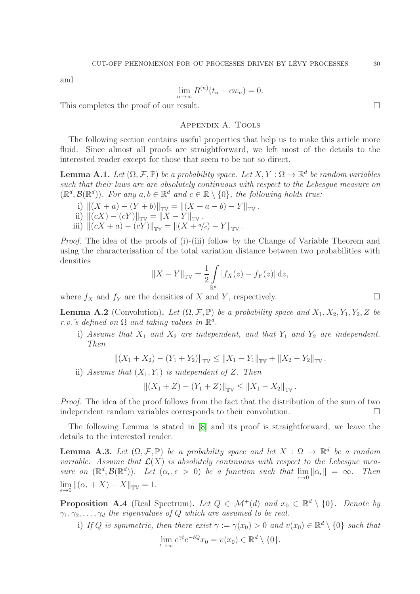and

$$
\lim_{n \to \infty} R^{(n)}(t_n + cw_n) = 0.
$$

This completes the proof of our result.

## Appendix A. Tools

The following section contains useful properties that help us to make this article more fluid. Since almost all proofs are straightforward, we left most of the details to the interested reader except for those that seem to be not so direct.

<span id="page-29-1"></span>**Lemma A.1.** Let  $(\Omega, \mathcal{F}, \mathbb{P})$  be a probability space. Let  $X, Y : \Omega \to \mathbb{R}^d$  be random variables such that their laws are are absolutely continuous with respect to the Lebesgue measure on  $(\mathbb{R}^d, \mathcal{B}(\mathbb{R}^d))$ . For any  $a, b \in \mathbb{R}^d$  and  $c \in \mathbb{R} \setminus \{0\}$ , the following holds true:

i)  $||(X + a) - (Y + b)||_{\text{TW}} = ||(X + a - b) - Y||_{\text{TW}}$ . ii)  $||(cX) - (cY)||_{\mathbb{TV}} = ||X - Y||_{\mathbb{TV}}$ . iii)  $||(cX + a) - (cY)||_{\mathbb{TV}} = ||(X + 4/c) - Y||_{\mathbb{TV}}$ .

Proof. The idea of the proofs of (i)-(iii) follow by the Change of Variable Theorem and using the characterisation of the total variation distance between two probabilities with densities

$$
||X - Y||_{\mathbb{TV}} = \frac{1}{2} \int_{\mathbb{R}^d} |f_X(z) - f_Y(z)| \, dz,
$$

where  $f_X$  and  $f_Y$  are the densities of X and Y, respectively.

**Lemma A.2** (Convolution). Let  $(\Omega, \mathcal{F}, \mathbb{P})$  be a probability space and  $X_1, X_2, Y_1, Y_2, Z$  be r.v.'s defined on  $\Omega$  and taking values in  $\mathbb{R}^d$ .

i) Assume that  $X_1$  and  $X_2$  are independent, and that  $Y_1$  and  $Y_2$  are independent. Then

$$
||(X_1 + X_2) - (Y_1 + Y_2)||_{\mathbb{TV}} \le ||X_1 - Y_1||_{\mathbb{TV}} + ||X_2 - Y_2||_{\mathbb{TV}}.
$$

ii) Assume that  $(X_1, Y_1)$  is independent of Z. Then

$$
||(X_1 + Z) - (Y_1 + Z)||_{\mathbb{TV}} \le ||X_1 - X_2||_{\mathbb{TV}}.
$$

Proof. The idea of the proof follows from the fact that the distribution of the sum of two independent random variables corresponds to their convolution.

The following Lemma is stated in [\[8\]](#page-32-9) and its proof is straightforward, we leave the details to the interested reader.

<span id="page-29-2"></span>**Lemma A.3.** Let  $(\Omega, \mathcal{F}, \mathbb{P})$  be a probability space and let  $X : \Omega \to \mathbb{R}^d$  be a random variable. Assume that  $\mathcal{L}(X)$  is absolutely continuous with respect to the Lebesgue measure on  $(\mathbb{R}^d, \mathcal{B}(\mathbb{R}^d))$ . Let  $(\alpha_{\epsilon}, \epsilon > 0)$  be a function such that  $\lim_{\epsilon \to 0} ||\alpha_{\epsilon}|| = \infty$ . Then  $\lim_{\epsilon \to 0} \|(\alpha_{\epsilon} + X) - X\|_{\mathbb{TV}} = 1.$ 

<span id="page-29-0"></span>**Proposition A.4** (Real Spectrum). Let  $Q \in \mathcal{M}^+(d)$  and  $x_0 \in \mathbb{R}^d \setminus \{0\}$ . Denote by  $\gamma_1, \gamma_2, \ldots, \gamma_d$  the eigenvalues of Q which are assumed to be real.

i) If Q is symmetric, then there exist  $\gamma := \gamma(x_0) > 0$  and  $v(x_0) \in \mathbb{R}^d \setminus \{0\}$  such that

$$
\lim_{t \to \infty} e^{\gamma t} e^{-tQ} x_0 = v(x_0) \in \mathbb{R}^d \setminus \{0\}.
$$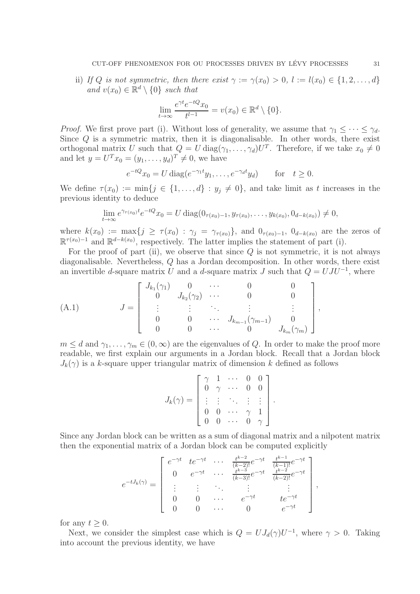ii) If Q is not symmetric, then there exist  $\gamma := \gamma(x_0) > 0, l := l(x_0) \in \{1, 2, ..., d\}$ and  $v(x_0) \in \mathbb{R}^d \setminus \{0\}$  such that

$$
\lim_{t \to \infty} \frac{e^{\gamma t} e^{-tQ} x_0}{t^{l-1}} = v(x_0) \in \mathbb{R}^d \setminus \{0\}.
$$

*Proof.* We first prove part (i). Without loss of generality, we assume that  $\gamma_1 \leq \cdots \leq \gamma_d$ . Since  $Q$  is a symmetric matrix, then it is diagonalisable. In other words, there exist orthogonal matrix U such that  $Q = U \text{diag}(\gamma_1, \dots, \gamma_d) U^T$ . Therefore, if we take  $x_0 \neq 0$ and let  $y = U^T x_0 = (y_1, ..., y_d)^T \neq 0$ , we have

$$
e^{-tQ}x_0 = U \operatorname{diag}(e^{-\gamma_1 t}y_1, \dots, e^{-\gamma_d t}y_d) \quad \text{for} \quad t \ge 0.
$$

We define  $\tau(x_0) := \min\{j \in \{1, \ldots, d\} : y_j \neq 0\}$ , and take limit as t increases in the previous identity to deduce

$$
\lim_{t \to \infty} e^{\gamma_{\tau(x_0)}t} e^{-tQ} x_0 = U \operatorname{diag}(0_{\tau(x_0)-1}, y_{\tau(x_0)}, \dots, y_{k(x_0)}, 0_{d-k(x_0)}) \neq 0,
$$

where  $k(x_0) := \max\{j \geq \tau(x_0) : \gamma_j = \gamma_{\tau(x_0)}\}$ , and  $0_{\tau(x_0)-1}$ ,  $0_{d-k(x_0)}$  are the zeros of  $\mathbb{R}^{\tau(x_0)-1}$  and  $\mathbb{R}^{d-k(x_0)}$ , respectively. The latter implies the statement of part (i).

For the proof of part (ii), we observe that since  $Q$  is not symmetric, it is not always diagonalisable. Nevertheless, Q has a Jordan decomposition. In other words, there exist an invertible d-square matrix U and a d-square matrix J such that  $Q = UJU^{-1}$ , where

<span id="page-30-0"></span>(A.1) 
$$
J = \begin{bmatrix} J_{k_1}(\gamma_1) & 0 & \cdots & 0 & 0 \\ 0 & J_{k_2}(\gamma_2) & \cdots & 0 & 0 \\ \vdots & \vdots & \ddots & \vdots & \vdots \\ 0 & 0 & \cdots & J_{k_{m-1}}(\gamma_{m-1}) & 0 \\ 0 & 0 & \cdots & 0 & J_{k_m}(\gamma_m) \end{bmatrix},
$$

 $m \leq d$  and  $\gamma_1, \ldots, \gamma_m \in (0, \infty)$  are the eigenvalues of Q. In order to make the proof more readable, we first explain our arguments in a Jordan block. Recall that a Jordan block  $J_k(\gamma)$  is a k-square upper triangular matrix of dimension k defined as follows

$$
J_k(\gamma) = \left[\begin{array}{cccc} \gamma & 1 & \cdots & 0 & 0 \\ 0 & \gamma & \cdots & 0 & 0 \\ \vdots & \vdots & \ddots & \vdots & \vdots \\ 0 & 0 & \cdots & \gamma & 1 \\ 0 & 0 & \cdots & 0 & \gamma \end{array}\right].
$$

Since any Jordan block can be written as a sum of diagonal matrix and a nilpotent matrix then the exponential matrix of a Jordan block can be computed explicitly

$$
e^{-tJ_k(\gamma)} = \begin{bmatrix} e^{-\gamma t} & t e^{-\gamma t} & \cdots & \frac{t^{k-2}}{(k-2)!} e^{-\gamma t} & \frac{t^{k-1}}{(k-1)!} e^{-\gamma t} \\ 0 & e^{-\gamma t} & \cdots & \frac{t^{k-3}}{(k-3)!} e^{-\gamma t} & \frac{t^{k-2}}{(k-2)!} e^{-\gamma t} \\ \vdots & \vdots & \ddots & \vdots & \vdots \\ 0 & 0 & \cdots & e^{-\gamma t} & t e^{-\gamma t} \\ 0 & 0 & \cdots & 0 & e^{-\gamma t} \end{bmatrix}
$$

,

for any  $t > 0$ .

Next, we consider the simplest case which is  $Q = U J_d(\gamma) U^{-1}$ , where  $\gamma > 0$ . Taking into account the previous identity, we have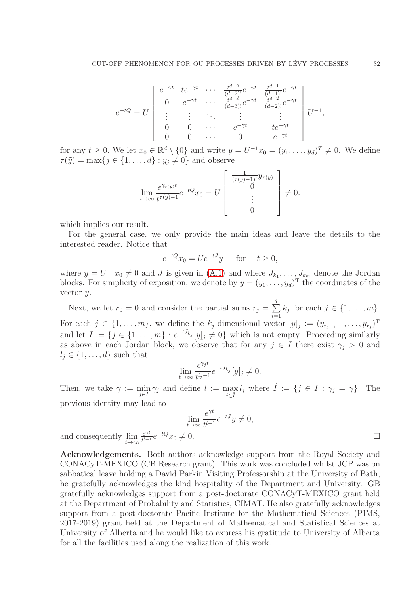$$
e^{-tQ} = U \begin{bmatrix} e^{-\gamma t} & t e^{-\gamma t} & \cdots & \frac{t^{d-2}}{(d-2)!} e^{-\gamma t} & \frac{t^{d-1}}{(d-1)!} e^{-\gamma t} \\ 0 & e^{-\gamma t} & \cdots & \frac{t^{d-3}}{(d-3)!} e^{-\gamma t} & \frac{t^{d-2}}{(d-2)!} e^{-\gamma t} \\ \vdots & \vdots & \ddots & \vdots & \vdots \\ 0 & 0 & \cdots & e^{-\gamma t} & t e^{-\gamma t} \\ 0 & 0 & \cdots & 0 & e^{-\gamma t} \end{bmatrix} U^{-1},
$$

for any  $t \geq 0$ . We let  $x_0 \in \mathbb{R}^d \setminus \{0\}$  and write  $y = U^{-1}x_0 = (y_1, \ldots, y_d)^T \neq 0$ . We define  $\tau(\tilde{y}) = \max\{j \in \{1, ..., d\} : y_j \neq 0\}$  and observe

$$
\lim_{t \to \infty} \frac{e^{\gamma_{\tau(y)}t}}{t^{\tau(y)-1}} e^{-tQ} x_0 = U \begin{bmatrix} \frac{1}{(\tau(y)-1)!} y_{\tau(y)} \\ 0 \\ \vdots \\ 0 \end{bmatrix} \neq 0.
$$

which implies our result.

For the general case, we only provide the main ideas and leave the details to the interested reader. Notice that

$$
e^{-tQ}x_0 = Ue^{-tJ}y \quad \text{for} \quad t \ge 0,
$$

where  $y = U^{-1}x_0 \neq 0$  and J is given in [\(A.1\)](#page-30-0) and where  $J_{k_1}, \ldots, J_{k_m}$  denote the Jordan blocks. For simplicity of exposition, we denote by  $y = (y_1, \ldots, y_d)$ <sup>T</sup> the coordinates of the vector y.

Next, we let  $r_0 = 0$  and consider the partial sums  $r_j = \sum_{i=1}^{j} r_i$  $i=1$  $k_j$  for each  $j \in \{1, \ldots, m\}.$ For each  $j \in \{1, \ldots, m\}$ , we define the  $k_j$ -dimensional vector  $[y]_j := (y_{r_{j-1}+1}, \ldots, y_{r_j})^T$ and let  $I := \{j \in \{1, \ldots, m\} : e^{-tJ_{k_j}}[y]_j \neq 0\}$  which is not empty. Proceeding similarly as above in each Jordan block, we observe that for any  $j \in I$  there exist  $\gamma_j > 0$  and  $l_i \in \{1, \ldots, d\}$  such that

$$
\lim_{t \to \infty} \frac{e^{\gamma_j t}}{t^{l_j - 1}} e^{-tJ_{k_j}} [y]_j \neq 0.
$$

Then, we take  $\gamma := \min$  $\min_{j\in I} \gamma_j$  and define  $l := \max_{j\in \tilde{I}}$  $\max_{j\in\tilde{I}} l_j$  where  $\tilde{I} := \{j \in I : \gamma_j = \gamma\}$ . The previous identity may lead to

$$
\lim_{t \to \infty} \frac{e^{\gamma t}}{t^{l-1}} e^{-tJ} y \neq 0,
$$
  
and consequently 
$$
\lim_{t \to \infty} \frac{e^{\gamma t}}{t^{l-1}} e^{-tQ} x_0 \neq 0.
$$

Acknowledgements. Both authors acknowledge support from the Royal Society and CONACyT-MEXICO (CB Research grant). This work was concluded whilst JCP was on sabbatical leave holding a David Parkin Visiting Professorship at the University of Bath, he gratefully acknowledges the kind hospitality of the Department and University. GB gratefully acknowledges support from a post-doctorate CONACyT-MEXICO grant held at the Department of Probability and Statistics, CIMAT. He also gratefully acknowledges support from a post-doctorate Pacific Institute for the Mathematical Sciences (PIMS, 2017-2019) grant held at the Department of Mathematical and Statistical Sciences at University of Alberta and he would like to express his gratitude to University of Alberta for all the facilities used along the realization of this work.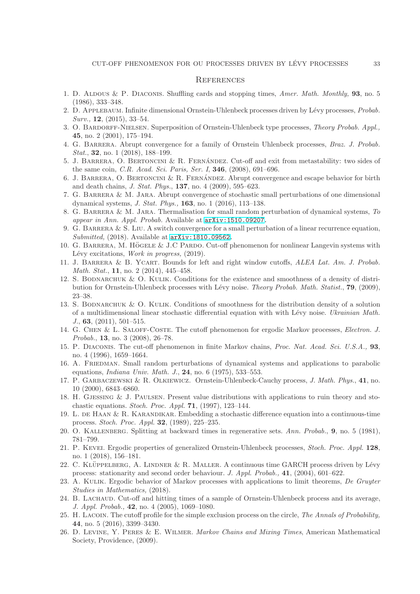#### **REFERENCES**

- <span id="page-32-0"></span>1. D. ALDOUS & P. DIACONIS. Shuffling cards and stopping times, Amer. Math. Monthly, 93, no. 5 (1986), 333–348.
- <span id="page-32-24"></span>2. D. APPLEBAUM. Infinite dimensional Ornstein-Uhlenbeck processes driven by Lévy processes, Probab. Surv., **12**, (2015), 33–54.
- <span id="page-32-23"></span>3. O. Bardorff-Nielsen. Superposition of Ornstein-Uhlenbeck type processes, Theory Probab. Appl., 45, no. 2 (2001), 175–194.
- <span id="page-32-7"></span>4. G. Barrera. Abrupt convergence for a family of Ornstein Uhlenbeck processes, Braz. J. Probab. Stat., **32**, no. 1 (2018), 188-199.
- <span id="page-32-1"></span>5. J. BARRERA, O. BERTONCINI & R. FERNÁNDEZ. Cut-off and exit from metastability: two sides of the same coin, *C.R. Acad. Sci. Paris, Ser. I*, **346**, (2008), 691-696.
- <span id="page-32-2"></span>6. J. BARRERA, O. BERTONCINI & R. FERNANDEZ. Abrupt convergence and escape behavior for birth and death chains, J. Stat. Phys., 137, no. 4 (2009), 595–623.
- <span id="page-32-8"></span>7. G. Barrera & M. Jara. Abrupt convergence of stochastic small perturbations of one dimensional dynamical systems, J. Stat. Phys., 163, no. 1 (2016), 113–138.
- <span id="page-32-9"></span>8. G. BARRERA & M. JARA. Thermalisation for small random perturbation of dynamical systems, To appear in Ann. Appl. Probab. Available at [arXiv:1510.09207.](http://arxiv.org/abs/1510.09207)
- 9. G. BARRERA & S. LIU. A switch convergence for a small perturbation of a linear recurrence equation, Submitted, (2018). Available at [arXiv:1810.09562.](http://arxiv.org/abs/1810.09562)
- <span id="page-32-11"></span>10. G. BARRERA, M. HÖGELE & J.C PARDO. Cut-off phenomenon for nonlinear Langevin systems with Lévy excitations, Work in progress, (2019).
- <span id="page-32-13"></span>11. J. BARRERA & B. YCART. Bounds for left and right window cutoffs, ALEA Lat. Am. J. Probab. Math. Stat., **11**, no. 2 (2014), 445–458.
- <span id="page-32-19"></span>12. S. BODNARCHUK & O. KULIK. Conditions for the existence and smoothness of a density of distribution for Ornstein-Uhlenbeck processes with Lévy noise. Theory Probab. Math. Statist., 79, (2009), 23–38.
- <span id="page-32-20"></span>13. S. BODNARCHUK & O. KULIK. Conditions of smoothness for the distribution density of a solution of a multidimensional linear stochastic differential equation with with Lévy noise. Ukrainian Math. J., 63, (2011), 501–515.
- <span id="page-32-5"></span>14. G. Chen & L. Saloff-Coste. The cutoff phenomenon for ergodic Markov processes, Electron. J. Probab., 13, no. 3 (2008), 26–78.
- <span id="page-32-3"></span>15. P. Diaconis. The cut-off phenomenon in finite Markov chains, Proc. Nat. Acad. Sci. U.S.A., 93, no. 4 (1996), 1659–1664.
- <span id="page-32-18"></span>16. A. Friedman. Small random perturbations of dynamical systems and applications to parabolic equations, *Indiana Univ. Math. J.*, **24**, no. 6 (1975), 533-553.
- <span id="page-32-17"></span>17. P. GARBACZEWSKI & R. OLKIEWICZ. Ornstein-Uhlenbeck-Cauchy process, J. Math. Phys., 41, no. 10 (2000), 6843–6860.
- <span id="page-32-16"></span>18. H. Gjessing & J. Paulsen. Present value distributions with applications to ruin theory and stochastic equations. Stoch. Proc. Appl.  $71$ , (1997), 123-144.
- <span id="page-32-14"></span>19. L. DE HAAN & R. KARANDIKAR. Embedding a stochastic difference equation into a continuous-time process. Stoch. Proc. Appl. 32, (1989), 225–235.
- <span id="page-32-21"></span><span id="page-32-10"></span>20. O. Kallenberg. Splitting at backward times in regenerative sets. Ann. Probab., 9, no. 5 (1981), 781–799.
- 21. P. Kevei. Ergodic properties of generalized Ornstein-Uhlenbeck processes, Stoch. Proc. Appl. 128, no. 1 (2018), 156–181.
- <span id="page-32-15"></span>22. C. KLÜPPELBERG, A. LINDNER & R. MALLER. A continuous time GARCH process driven by Lévy process: stationarity and second order behaviour. J. Appl. Probab., 41, (2004), 601–622.
- <span id="page-32-12"></span>23. A. KULIK. Ergodic behavior of Markov processes with applications to limit theorems, De Gruyter Studies in Mathematics, (2018).
- <span id="page-32-6"></span>24. B. Lachaud. Cut-off and hitting times of a sample of Ornstein-Uhlenbeck process and its average, J. Appl. Probab., 42, no. 4 (2005), 1069–1080.
- <span id="page-32-22"></span>25. H. LACOIN. The cutoff profile for the simple exclusion process on the circle, The Annals of Probability, 44, no. 5 (2016), 3399–3430.
- <span id="page-32-4"></span>26. D. Levine, Y. Peres & E. Wilmer. Markov Chains and Mixing Times, American Mathematical Society, Providence, (2009).